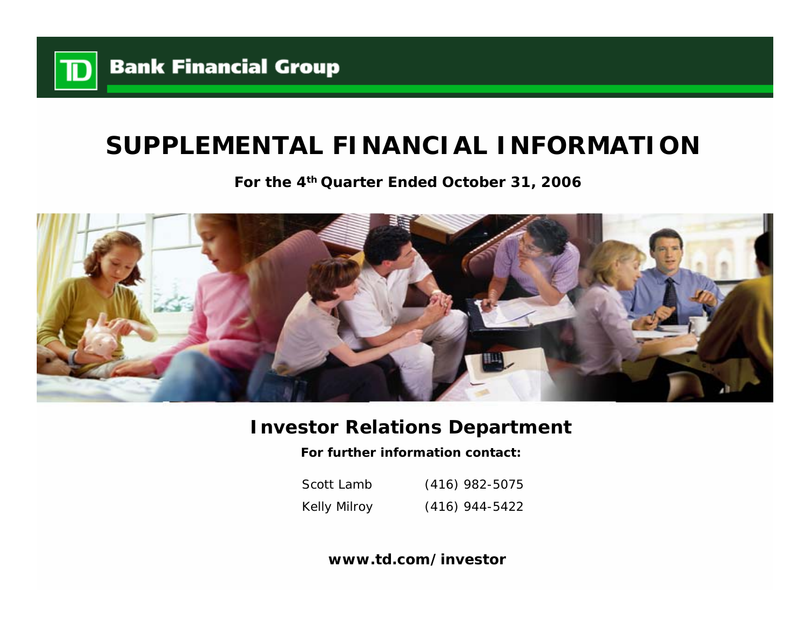

# **SUPPLEMENTAL FINANCIAL INFORMATION**

**For the 4th Quarter Ended October 31, 2006**



## **Investor Relations Department**

**For further information contact:**

Scott LambKelly Milroy (416) 982-5075 (416) 944-5422

**www.td.com/investor**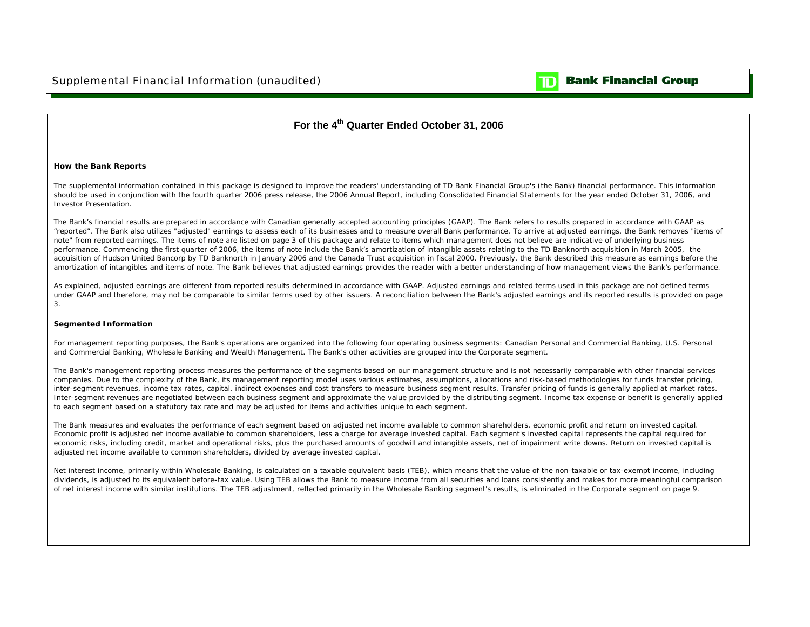

## **Bank Financial Group**

### **For the 4th Quarter Ended October 31, 2006**

#### **How the Bank Reports**

The supplemental information contained in this package is designed to improve the readers' understanding of TD Bank Financial Group's (the Bank) financial performance. This information should be used in conjunction with the fourth quarter 2006 press release, the 2006 Annual Report, including Consolidated Financial Statements for the year ended October 31, 2006, and Investor Presentation.

The Bank's financial results are prepared in accordance with Canadian generally accepted accounting principles (GAAP). The Bank refers to results prepared in accordance with GAAP as "reported". The Bank also utilizes "adjusted" earnings to assess each of its businesses and to measure overall Bank performance. To arrive at adjusted earnings, the Bank removes "items of note" from reported earnings. The items of note are listed on page 3 of this package and relate to items which management does not believe are indicative of underlying business performance. Commencing the first quarter of 2006, the items of note include the Bank's amortization of intangible assets relating to the TD Banknorth acquisition in March 2005, the acquisition of Hudson United Bancorp by TD Banknorth in January 2006 and the Canada Trust acquisition in fiscal 2000. Previously, the Bank described this measure as earnings before the amortization of intangibles and items of note. The Bank believes that adjusted earnings provides the reader with a better understanding of how management views the Bank's performance.

As explained, adjusted earnings are different from reported results determined in accordance with GAAP. Adjusted earnings and related terms used in this package are not defined terms under GAAP and therefore, may not be comparable to similar terms used by other issuers. A reconciliation between the Bank's adjusted earnings and its reported results is provided on page 3.

#### **Segmented Information**

For management reporting purposes, the Bank's operations are organized into the following four operating business segments: Canadian Personal and Commercial Banking, U.S. Personal and Commercial Banking, Wholesale Banking and Wealth Management. The Bank's other activities are grouped into the Corporate segment.

The Bank's management reporting process measures the performance of the segments based on our management structure and is not necessarily comparable with other financial services companies. Due to the complexity of the Bank, its management reporting model uses various estimates, assumptions, allocations and risk-based methodologies for funds transfer pricing, inter-segment revenues, income tax rates, capital, indirect expenses and cost transfers to measure business segment results. Transfer pricing of funds is generally applied at market rates. Inter-segment revenues are negotiated between each business segment and approximate the value provided by the distributing segment. Income tax expense or benefit is generally applied to each segment based on a statutory tax rate and may be adjusted for items and activities unique to each segment.

The Bank measures and evaluates the performance of each segment based on adjusted net income available to common shareholders, economic profit and return on invested capital. Economic profit is adjusted net income available to common shareholders, less a charge for average invested capital. Each segment's invested capital represents the capital reguired for economic risks, including credit, market and operational risks, plus the purchased amounts of goodwill and intangible assets, net of impairment write downs. Return on invested capital is adjusted net income available to common shareholders, divided by average invested capital.

Net interest income, primarily within Wholesale Banking, is calculated on a taxable equivalent basis (TEB), which means that the value of the non-taxable or tax-exempt income, including dividends, is adjusted to its equivalent before-tax value. Using TEB allows the Bank to measure income from all securities and loans consistently and makes for more meaningful comparison of net interest income with similar institutions. The TEB adjustment, reflected primarily in the Wholesale Banking segment's results, is eliminated in the Corporate segment on page 9.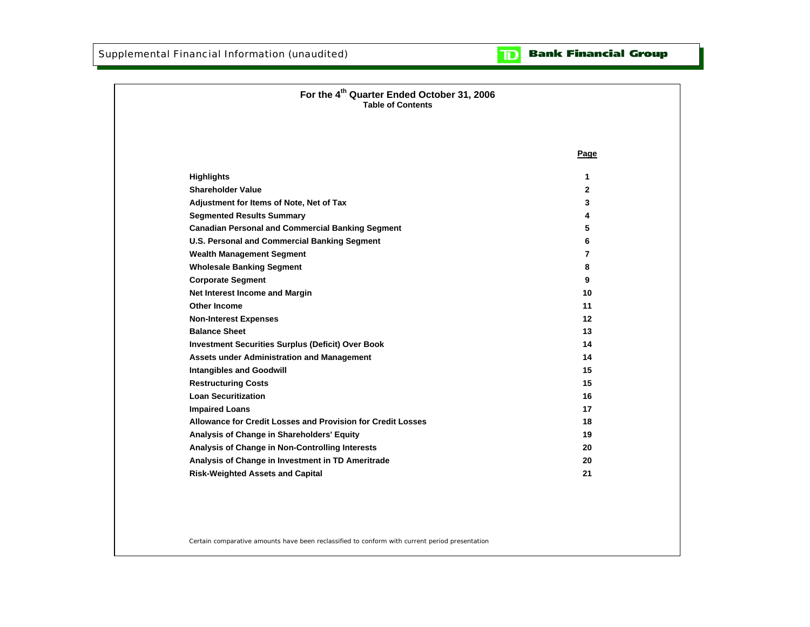**Bank Financial Group** וסד

| For the 4 <sup>th</sup> Quarter Ended October 31, 2006<br><b>Table of Contents</b> |              |
|------------------------------------------------------------------------------------|--------------|
|                                                                                    | Page         |
| <b>Highlights</b>                                                                  | 1            |
| <b>Shareholder Value</b>                                                           | $\mathbf{2}$ |
| Adjustment for Items of Note, Net of Tax                                           | 3            |
| <b>Segmented Results Summary</b>                                                   | 4            |
| <b>Canadian Personal and Commercial Banking Segment</b>                            | 5            |
| U.S. Personal and Commercial Banking Segment                                       | 6            |
| <b>Wealth Management Segment</b>                                                   | 7            |
| <b>Wholesale Banking Segment</b>                                                   | 8            |
| <b>Corporate Segment</b>                                                           | 9            |
| Net Interest Income and Margin                                                     | 10           |
| <b>Other Income</b>                                                                | 11           |
| <b>Non-Interest Expenses</b>                                                       | 12           |
| <b>Balance Sheet</b>                                                               | 13           |
| <b>Investment Securities Surplus (Deficit) Over Book</b>                           | 14           |
| <b>Assets under Administration and Management</b>                                  | 14           |
| <b>Intangibles and Goodwill</b>                                                    | 15           |
| <b>Restructuring Costs</b>                                                         | 15           |
| <b>Loan Securitization</b>                                                         | 16           |
| <b>Impaired Loans</b>                                                              | 17           |
| Allowance for Credit Losses and Provision for Credit Losses                        | 18           |
| Analysis of Change in Shareholders' Equity                                         | 19           |
| Analysis of Change in Non-Controlling Interests                                    | 20           |
| Analysis of Change in Investment in TD Ameritrade                                  | 20           |
| <b>Risk-Weighted Assets and Capital</b>                                            | 21           |

Certain comparative amounts have been reclassified to conform with current period presentation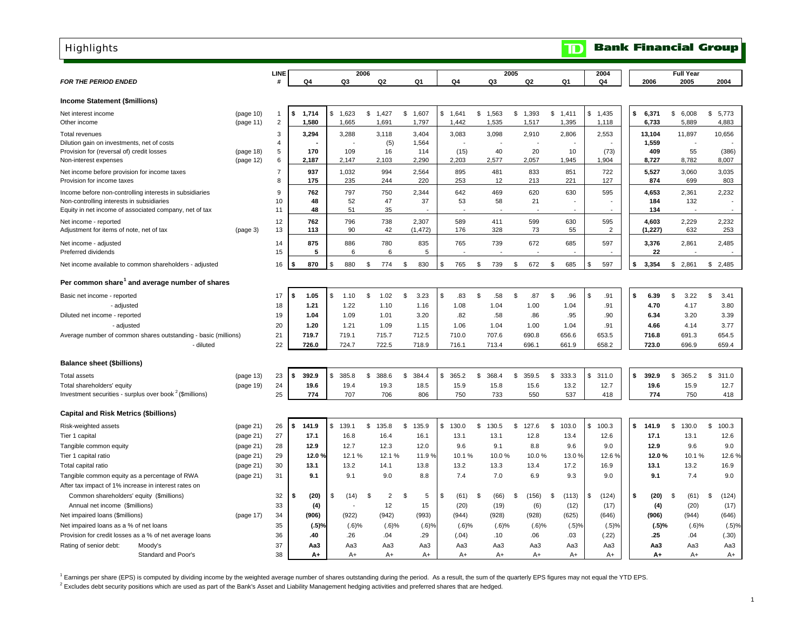| <b>Highlights</b>                                                                                     |                        |                      |                     |                      |                       |                |                |                      |                      |            |                | ID                   |                       |                |                      | <b>Bank Financial Group</b> |                  |
|-------------------------------------------------------------------------------------------------------|------------------------|----------------------|---------------------|----------------------|-----------------------|----------------|----------------|----------------------|----------------------|------------|----------------|----------------------|-----------------------|----------------|----------------------|-----------------------------|------------------|
| <b>FOR THE PERIOD ENDED</b>                                                                           |                        | LINE<br>#            | Q4                  | 2006                 | Q2                    |                | Q1             | Q4                   | Q3                   | 2005       | Q <sub>2</sub> | Q1                   | 2004<br>Q4            |                |                      | <b>Full Year</b>            | 2004             |
|                                                                                                       |                        |                      |                     | Q3                   |                       |                |                |                      |                      |            |                |                      |                       |                | 2006                 | 2005                        |                  |
| <b>Income Statement (\$millions)</b>                                                                  |                        |                      |                     |                      |                       |                |                |                      |                      |            |                |                      |                       |                |                      |                             |                  |
| Net interest income<br>Other income                                                                   | (page 10)<br>(page 11) | -1<br>$\overline{2}$ | 1,714<br>S<br>1,580 | \$<br>1,623<br>1,665 | \$<br>1,427<br>1,691  | \$             | 1,607<br>1,797 | \$<br>1,641<br>1,442 | \$<br>1,563<br>1,535 | \$         | 1,393<br>1,517 | \$<br>1,411<br>1,395 | \$<br>1,435<br>1,118  |                | \$<br>6,371<br>6,733 | \$<br>6,008<br>5,889        | \$5,773<br>4,883 |
| <b>Total revenues</b>                                                                                 |                        | 3                    | 3,294               | 3,288                | 3,118                 |                | 3,404          | 3,083                | 3,098                |            | 2,910          | 2,806                | 2,553                 |                | 13,104               | 11,897                      | 10,656           |
| Dilution gain on investments, net of costs                                                            |                        | $\overline{4}$<br>5  | 170                 | 109                  | (5)<br>16             |                | 1,564          |                      |                      | 40         | 20             | 10                   |                       | (73)           | 1,559<br>409         | 55                          | (386)            |
| Provision for (reversal of) credit losses<br>Non-interest expenses                                    | (page 18)<br>(page 12) | 6                    | 2,187               | 2,147                | 2,103                 |                | 114<br>2,290   | (15)<br>2,203        | 2,577                |            | 2,057          | 1,945                | 1,904                 |                | 8,727                | 8,782                       | 8,007            |
| Net income before provision for income taxes                                                          |                        | $\boldsymbol{7}$     | 937                 | 1,032                | 994                   |                | 2,564          | 895                  |                      | 481        | 833            | 851                  |                       | 722            | 5,527                | 3,060                       | 3,035            |
| Provision for income taxes                                                                            |                        | 8                    | 175                 | 235                  | 244                   |                | 220            | 253                  |                      | 12         | 213            | 221                  |                       | 127            | 874                  | 699                         | 803              |
| Income before non-controlling interests in subsidiaries                                               |                        | 9                    | 762                 | 797                  | 750                   |                | 2,344          | 642                  |                      | 469        | 620            | 630                  |                       | 595            | 4,653                | 2,361                       | 2,232            |
| Non-controlling interests in subsidiaries<br>Equity in net income of associated company, net of tax   |                        | 10<br>11             | 48<br>48            | 52<br>51             | 47<br>35              |                | 37             | 53                   |                      | 58         | 21             |                      |                       |                | 184<br>134           | 132                         |                  |
| Net income - reported                                                                                 |                        | 12                   | 762                 | 796                  | 738                   |                | 2,307          | 589                  |                      | 411        | 599            | 630                  |                       | 595            | 4,603                | 2.229                       | 2.232            |
| Adjustment for items of note, net of tax                                                              | (page 3)               | 13                   | 113                 | 90                   | 42                    |                | (1, 472)       | 176                  |                      | 328        | 73             | 55                   |                       | $\overline{2}$ | (1,227)              | 632                         | 253              |
| Net income - adjusted<br>Preferred dividends                                                          |                        | 14<br>15             | 875<br>5            | 886<br>6             | 780<br>6              |                | 835<br>5       | 765                  |                      | 739        | 672            | 685                  |                       | 597            | 3,376<br>22          | 2,861                       | 2,485            |
|                                                                                                       |                        |                      |                     |                      |                       |                |                |                      |                      |            |                |                      |                       |                |                      |                             |                  |
| Net income available to common shareholders - adjusted                                                |                        | 16                   | 870                 | \$<br>880            | \$<br>774             | \$             | 830            | \$<br>765            | \$                   | 739<br>\$  | 672            | \$<br>685            | \$                    | 597            | \$<br>3,354          | \$2,861                     | \$2,485          |
| Per common share <sup>1</sup> and average number of shares                                            |                        |                      |                     |                      |                       |                |                |                      |                      |            |                |                      |                       |                |                      |                             |                  |
| Basic net income - reported                                                                           |                        | 17                   | 1.05<br>5           | \$<br>1.10           | \$<br>1.02            | \$             | 3.23           | \$<br>.83            | \$                   | .58<br>\$  | .87            | \$<br>.96            | \$                    | .91            | \$<br>6.39           | \$<br>3.22                  | \$<br>3.41       |
| - adjusted                                                                                            |                        | 18                   | 1.21                | 1.22                 | 1.10                  |                | 1.16           | 1.08                 | 1.04                 |            | 1.00           | 1.04                 |                       | .91            | 4.70                 | 4.17                        | 3.80             |
| Diluted net income - reported                                                                         |                        | 19                   | 1.04                | 1.09                 | 1.01                  |                | 3.20           | .82                  |                      | .58        | .86            | .95                  |                       | .90            | 6.34                 | 3.20                        | 3.39             |
| - adjusted                                                                                            |                        | 20                   | 1.20                | 1.21                 | 1.09                  |                | 1.15           | 1.06                 | 1.04                 |            | 1.00           | 1.04                 |                       | .91            | 4.66                 | 4.14                        | 3.77             |
| Average number of common shares outstanding - basic (millions)                                        |                        | 21                   | 719.7               | 719.1                | 715.7                 |                | 712.5          | 710.0                | 707.6                |            | 690.8          | 656.6                | 653.5                 |                | 716.8                | 691.3                       | 654.5            |
| - diluted                                                                                             |                        | 22                   | 726.0               | 724.7                | 722.5                 |                | 718.9          | 716.1                | 713.4                |            | 696.1          | 661.9                | 658.2                 |                | 723.0                | 696.9                       | 659.4            |
| <b>Balance sheet (\$billions)</b>                                                                     |                        |                      |                     |                      |                       |                |                |                      |                      |            |                |                      |                       |                |                      |                             |                  |
| <b>Total assets</b>                                                                                   | (page 13)              | 23                   | 392.9<br>5          | \$<br>385.8          | \$<br>388.6           | \$             | 384.4          | \$<br>365.2          | \$<br>368.4          |            | \$359.5        | \$<br>333.3          | \$<br>311.0           |                | \$<br>392.9          | \$<br>365.2                 | \$<br>311.0      |
| Total shareholders' equity                                                                            | (page 19)              | 24                   | 19.6                | 19.4                 | 19.3                  |                | 18.5           | 15.9                 | 15.8                 |            | 15.6           | 13.2                 |                       | 12.7           | 19.6                 | 15.9                        | 12.7             |
| Investment securities - surplus over book <sup>2</sup> (\$millions)                                   |                        | 25                   | 774                 | 707                  | 706                   |                | 806            | 750                  |                      | 733        | 550            | 537                  |                       | 418            | 774                  | 750                         | 418              |
| <b>Capital and Risk Metrics (\$billions)</b>                                                          |                        |                      |                     |                      |                       |                |                |                      |                      |            |                |                      |                       |                |                      |                             |                  |
| Risk-weighted assets                                                                                  | (page 21)              | 26                   | 141.9<br>5          | \$<br>139.1          | \$<br>135.8           | \$             | 135.9          | \$<br>130.0          | \$<br>130.5          | \$         | 127.6          | \$<br>103.0          | $\mathbb{S}$<br>100.3 |                | \$<br>141.9          | \$<br>130.0                 | \$<br>100.3      |
| Tier 1 capital                                                                                        | (page 21)              | 27                   | 17.1                | 16.8                 | 16.4                  |                | 16.1           | 13.1                 | 13.1                 |            | 12.8           | 13.4                 |                       | 12.6           | 17.1                 | 13.1                        | 12.6             |
| Tangible common equity                                                                                | (page 21)              | 28                   | 12.9                | 12.7                 | 12.3                  |                | 12.0           | 9.6                  |                      | 9.1        | 8.8            | 9.6                  |                       | 9.0            | 12.9                 | 9.6                         | 9.0              |
| Tier 1 capital ratio                                                                                  | (page 21)              | 29                   | 12.0 $9$            | 12.1%                | 12.1%                 |                | 11.9%          | 10.1%                |                      | 10.0%      | 10.0%          | 13.0%                |                       | 12.6%          | 12.0%                | 10.1%                       | 12.6%            |
| Total capital ratio                                                                                   | (page 21)              | 30                   | 13.1                | 13.2                 | 14.1                  |                | 13.8           | 13.2                 |                      | 13.3       | 13.4           | 17.2                 |                       | 16.9           | 13.1                 | 13.2                        | 16.9             |
| Tangible common equity as a percentage of RWA<br>After tax impact of 1% increase in interest rates on | (page 21)              | 31                   | 9.1                 | 9.1                  | 9.0                   |                | 8.8            | 7.4                  |                      | 7.0        | 6.9            | 9.3                  |                       | 9.0            | 9.1                  | 7.4                         | 9.0              |
| Common shareholders' equity (\$millions)                                                              |                        | 32                   | (20)<br>S           | \$<br>(14)           | \$.<br>$\overline{2}$ | $\mathfrak{s}$ | 5              | \$<br>(61)           | \$                   | (66)<br>\$ | (156)          | \$<br>(113)          | \$                    | (124)          | \$<br>(20)           | $\mathfrak{s}$<br>(61)      | \$<br>(124)      |
| Annual net income (\$millions)                                                                        |                        | 33                   | (4)                 |                      | 12                    |                | 15             | (20)                 |                      | (19)       | (6)            | (12)                 |                       | (17)           | (4)                  | (20)                        | (17)             |
| Net impaired loans (\$millions)                                                                       | (page 17)              | 34                   | (906)               | (922)                | (942)                 |                | (993)          | (944)                |                      | (928)      | (928)          | (625)                |                       | (646)          | (906)                | (944)                       | (646)            |
| Net impaired loans as a % of net loans                                                                |                        | 35                   | $(.5)$ %            | (.6)%                |                       | $(.6)$ %       | (.6)%          | $(.6)$ %             |                      | (.6)%      | $(.6)$ %       | (.5)%                |                       | (.5)%          | (.5)%                | $(.6)$ %                    | (.5)%            |
| Provision for credit losses as a % of net average loans                                               |                        | 36                   | .40                 | .26                  | .04                   |                | .29            | (.04)                |                      | .10        | .06            | .03                  |                       | (.22)          | .25                  | .04                         | (.30)            |
| Rating of senior debt:<br>Moody's                                                                     |                        | 37                   | Aa3                 | Aa3                  | Aa3                   |                | АаЗ            | Aa3                  |                      | Aa3        | АаЗ            | АаЗ                  |                       | Aa3            | АаЗ                  | АаЗ                         | Aa3              |
| Standard and Poor's                                                                                   |                        | 38                   | A+                  | $A+$                 | $A+$                  |                | A+             | A+                   |                      | $A+$       | $A+$           | $A+$                 |                       | $A+$           | A+                   | $A+$                        | A+               |

<sup>1</sup> Earnings per share (EPS) is computed by dividing income by the weighted average number of shares outstanding during the period. As a result, the sum of the quarterly EPS figures may not equal the YTD EPS.

<sup>2</sup> Excludes debt security positions which are used as part of the Bank's Asset and Liability Management hedging activities and preferred shares that are hedged.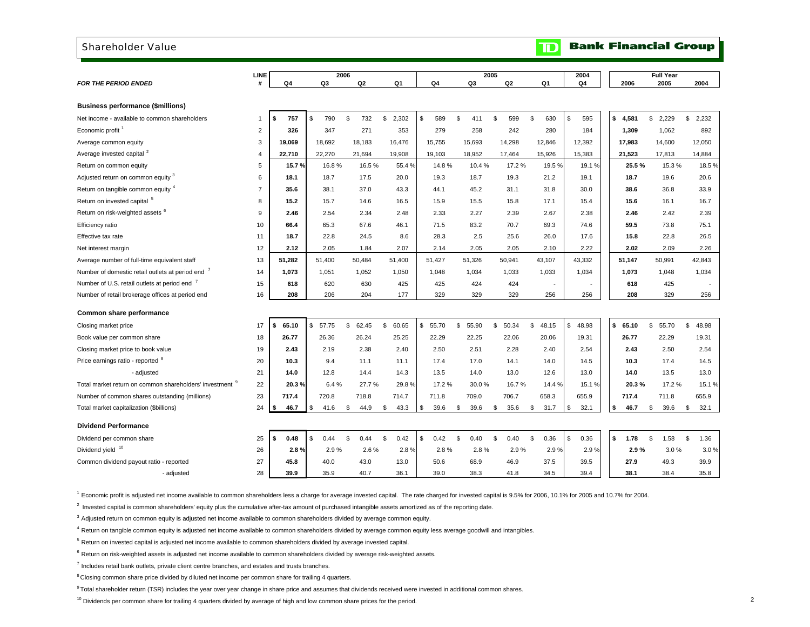#### Shareholder Value

#### **Bank Financial Group**  $\mathbf T$

|                                                                     | <b>LINE</b>    |             | 2006        |             |             |                | 2005        |             |                          | 2004                    |             | <b>Full Year</b> |             |
|---------------------------------------------------------------------|----------------|-------------|-------------|-------------|-------------|----------------|-------------|-------------|--------------------------|-------------------------|-------------|------------------|-------------|
| <b>FOR THE PERIOD ENDED</b>                                         | #              | Q4          | Q3          | Q2          | Q1          | Q <sub>4</sub> | Q3          | Q2          | Q1                       | Q4                      | 2006        | 2005             | 2004        |
|                                                                     |                |             |             |             |             |                |             |             |                          |                         |             |                  |             |
| <b>Business performance (\$millions)</b>                            |                |             |             |             |             |                |             |             |                          |                         |             |                  |             |
| Net income - available to common shareholders                       | $\mathbf{1}$   | \$<br>757   | \$<br>790   | \$<br>732   | \$<br>2,302 | \$<br>589      | \$<br>411   | \$<br>599   | \$<br>630                | \$<br>595               | \$<br>4,581 | \$<br>2,229      | \$2,232     |
| Economic profit                                                     | $\overline{2}$ | 326         | 347         | 271         | 353         | 279            | 258         | 242         | 280                      | 184                     | 1,309       | 1,062            | 892         |
| Average common equity                                               | 3              | 19.069      | 18,692      | 18,183      | 16,476      | 15,755         | 15,693      | 14,298      | 12,846                   | 12,392                  | 17,983      | 14,600           | 12,050      |
| Average invested capital <sup>2</sup>                               | $\overline{4}$ | 22,710      | 22,270      | 21,694      | 19,908      | 19,103         | 18,952      | 17,464      | 15,926                   | 15,383                  | 21,523      | 17,813           | 14,884      |
| Return on common equity                                             | 5              | 15.7%       | 16.8%       | 16.5%       | 55.4 %      | 14.8%          | 10.4%       | 17.2%       | 19.5%                    | 19.1%                   | 25.5%       | 15.3%            | 18.5%       |
| Adjusted return on common equity <sup>3</sup>                       | 6              | 18.1        | 18.7        | 17.5        | 20.0        | 19.3           | 18.7        | 19.3        | 21.2                     | 19.1                    | 18.7        | 19.6             | 20.6        |
| Return on tangible common equity 4                                  | $\overline{7}$ | 35.6        | 38.1        | 37.0        | 43.3        | 44.1           | 45.2        | 31.1        | 31.8                     | 30.0                    | 38.6        | 36.8             | 33.9        |
| Return on invested capital <sup>5</sup>                             | 8              | 15.2        | 15.7        | 14.6        | 16.5        | 15.9           | 15.5        | 15.8        | 17.1                     | 15.4                    | 15.6        | 16.1             | 16.7        |
| Return on risk-weighted assets <sup>6</sup>                         | 9              | 2.46        | 2.54        | 2.34        | 2.48        | 2.33           | 2.27        | 2.39        | 2.67                     | 2.38                    | 2.46        | 2.42             | 2.39        |
| Efficiency ratio                                                    | 10             | 66.4        | 65.3        | 67.6        | 46.1        | 71.5           | 83.2        | 70.7        | 69.3                     | 74.6                    | 59.5        | 73.8             | 75.1        |
| Effective tax rate                                                  | 11             | 18.7        | 22.8        | 24.5        | 8.6         | 28.3           | 2.5         | 25.6        | 26.0                     | 17.6                    | 15.8        | 22.8             | 26.5        |
| Net interest margin                                                 | 12             | 2.12        | 2.05        | 1.84        | 2.07        | 2.14           | 2.05        | 2.05        | 2.10                     | 2.22                    | 2.02        | 2.09             | 2.26        |
| Average number of full-time equivalent staff                        | 13             | 51.282      | 51,400      | 50,484      | 51,400      | 51,427         | 51,326      | 50,941      | 43,107                   | 43.332                  | 51,147      | 50,991           | 42,843      |
| Number of domestic retail outlets at period end '                   | 14             | 1,073       | 1,051       | 1,052       | 1,050       | 1,048          | 1,034       | 1,033       | 1,033                    | 1,034                   | 1,073       | 1,048            | 1,034       |
| Number of U.S. retail outlets at period end 7                       | 15             | 618         | 620         | 630         | 425         | 425            | 424         | 424         | $\overline{\phantom{a}}$ |                         | 618         | 425              |             |
| Number of retail brokerage offices at period end                    | 16             | 208         | 206         | 204         | 177         | 329            | 329         | 329         | 256                      | 256                     | 208         | 329              | 256         |
| Common share performance                                            |                |             |             |             |             |                |             |             |                          |                         |             |                  |             |
| Closing market price                                                | 17             | \$<br>65.10 | \$<br>57.75 | \$<br>62.45 | \$<br>60.65 | \$<br>55.70    | \$<br>55.90 | \$<br>50.34 | \$<br>48.15              | $$\mathbb{S}$$<br>48.98 | \$<br>65.10 | \$<br>55.70      | s.<br>48.98 |
| Book value per common share                                         | 18             | 26.77       | 26.36       | 26.24       | 25.25       | 22.29          | 22.25       | 22.06       | 20.06                    | 19.31                   | 26.77       | 22.29            | 19.31       |
| Closing market price to book value                                  | 19             | 2.43        | 2.19        | 2.38        | 2.40        | 2.50           | 2.51        | 2.28        | 2.40                     | 2.54                    | 2.43        | 2.50             | 2.54        |
| Price earnings ratio - reported <sup>8</sup>                        | 20             | 10.3        | 9.4         | 11.1        | 11.1        | 17.4           | 17.0        | 14.1        | 14.0                     | 14.5                    | 10.3        | 17.4             | 14.5        |
| - adjusted                                                          | 21             | 14.0        | 12.8        | 14.4        | 14.3        | 13.5           | 14.0        | 13.0        | 12.6                     | 13.0                    | 14.0        | 13.5             | 13.0        |
| Total market return on common shareholders' investment <sup>9</sup> | 22             | 20.3%       | 6.4%        | 27.7%       | 29.8%       | 17.2%          | 30.0%       | 16.7%       | 14.4 %                   | 15.1%                   | 20.3%       | 17.2%            | 15.1%       |
| Number of common shares outstanding (millions)                      | 23             | 717.4       | 720.8       | 718.8       | 714.7       | 711.8          | 709.0       | 706.7       | 658.3                    | 655.9                   | 717.4       | 711.8            | 655.9       |
| Total market capitalization (\$billions)                            | 24             | \$<br>46.7  | \$<br>41.6  | \$<br>44.9  | \$<br>43.3  | \$<br>39.6     | 39.6<br>\$  | \$<br>35.6  | \$<br>31.7               | \$<br>32.1              | \$<br>46.7  | \$<br>39.6       | \$<br>32.1  |
| <b>Dividend Performance</b>                                         |                |             |             |             |             |                |             |             |                          |                         |             |                  |             |
| Dividend per common share                                           | 25             | \$<br>0.48  | \$<br>0.44  | \$<br>0.44  | \$<br>0.42  | \$<br>0.42     | 0.40<br>\$  | 0.40<br>\$  | \$<br>0.36               | \$<br>0.36              | \$<br>1.78  | \$<br>1.58       | \$<br>1.36  |
| Dividend yield 10                                                   | 26             | 2.8%        | 2.9%        | 2.6%        | 2.8%        | 2.8%           | 2.8%        | 2.9%        | 2.9%                     | 2.9%                    | 2.9%        | 3.0%             | 3.0%        |
| Common dividend payout ratio - reported                             | 27             | 45.8        | 40.0        | 43.0        | 13.0        | 50.6           | 68.9        | 46.9        | 37.5                     | 39.5                    | 27.9        | 49.3             | 39.9        |
| - adjusted                                                          | 28             | 39.9        | 35.9        | 40.7        | 36.1        | 39.0           | 38.3        | 41.8        | 34.5                     | 39.4                    | 38.1        | 38.4             | 35.8        |
|                                                                     |                |             |             |             |             |                |             |             |                          |                         |             |                  |             |

1 Economic profit is adjusted net income available to common shareholders less a charge for average invested capital. The rate charged for invested capital is 9.5% for 2006, 10.1% for 2005 and 10.7% for 2004.

 $2$  Invested capital is common shareholders' equity plus the cumulative after-tax amount of purchased intangible assets amortized as of the reporting date.

 $3$  Adjusted return on common equity is adjusted net income available to common shareholders divided by average common equity.

4 Return on tangible common equity is adjusted net income available to common shareholders divided by average common equity less average goodwill and intangibles.

 $5$  Return on invested capital is adjusted net income available to common shareholders divided by average invested capital.

 $6$  Return on risk-weighted assets is adjusted net income available to common shareholders divided by average risk-weighted assets.

 $7$  Includes retail bank outlets, private client centre branches, and estates and trusts branches.

<sup>8</sup> Closing common share price divided by diluted net income per common share for trailing 4 quarters.

<sup>9</sup> Total shareholder return (TSR) includes the year over year change in share price and assumes that dividends received were invested in additional common shares.

<sup>10</sup> Dividends per common share for trailing 4 quarters divided by average of high and low common share prices for the period.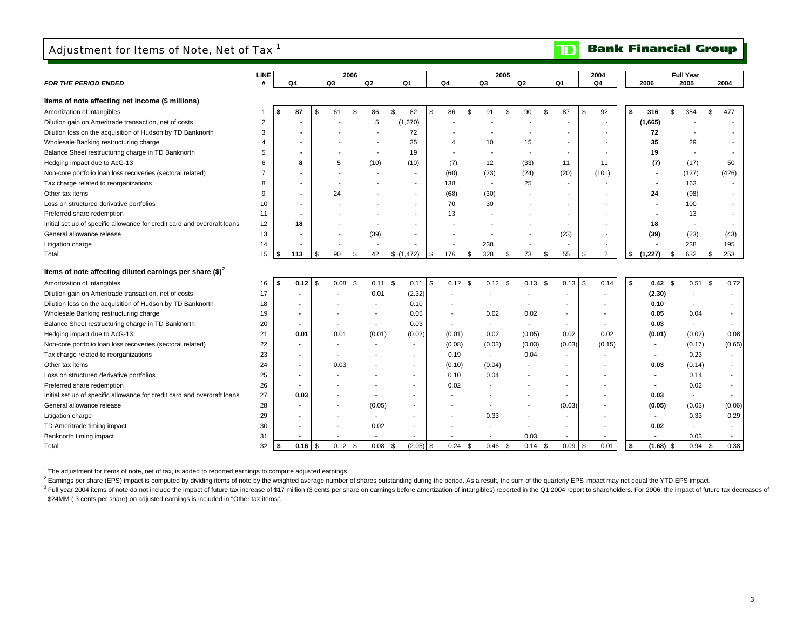## Adjustment for Items of Note, Net of Tax<sup>1</sup>

#### **Bank Financial Group** וסד

|                                                                          | <b>LINE</b>    |      |                          |    |           | 2006 |                |                          |                 |                          | 2005           |                          |                          | 2004                     |                   | <b>Full Year</b>         |                          |
|--------------------------------------------------------------------------|----------------|------|--------------------------|----|-----------|------|----------------|--------------------------|-----------------|--------------------------|----------------|--------------------------|--------------------------|--------------------------|-------------------|--------------------------|--------------------------|
| <b>FOR THE PERIOD ENDED</b>                                              | #              |      | Q4                       |    | Q3        |      | Q <sub>2</sub> | Q1                       | Q4              | Q3                       |                | Q <sub>2</sub>           | Q1                       | Q4                       | 2006              | 2005                     | 2004                     |
| Items of note affecting net income (\$ millions)                         |                |      |                          |    |           |      |                |                          |                 |                          |                |                          |                          |                          |                   |                          |                          |
| Amortization of intangibles                                              |                |      | 87                       | S  | 61        | \$   | 86             | \$<br>82                 | \$<br>86        | \$<br>91                 | \$             | 90                       | \$<br>87                 | 92<br>\$                 | \$<br>316         | \$<br>354                | \$<br>477                |
| Dilution gain on Ameritrade transaction, net of costs                    | $\overline{2}$ |      |                          |    |           |      | 5              | (1,670)                  |                 |                          |                |                          |                          | $\overline{\phantom{a}}$ | (1,665)           |                          |                          |
| Dilution loss on the acquisition of Hudson by TD Banknorth               | 3              |      |                          |    |           |      |                | 72                       |                 |                          |                |                          |                          |                          | 72                |                          |                          |
| Wholesale Banking restructuring charge                                   | $\overline{4}$ |      |                          |    |           |      |                | 35                       |                 | 10                       |                | 15                       | $\overline{\phantom{a}}$ | $\overline{\phantom{a}}$ | 35                | 29                       |                          |
| Balance Sheet restructuring charge in TD Banknorth                       | 5              |      | $\blacksquare$           |    |           |      |                | 19                       |                 |                          |                | $\overline{\phantom{a}}$ | $\overline{\phantom{a}}$ | ٠                        | 19                | $\overline{\phantom{a}}$ |                          |
| Hedging impact due to AcG-13                                             | 6              |      | 8                        |    | 5         |      | (10)           | (10)                     | (7)             | 12                       |                | (33)                     | 11                       | 11                       | (7)               | (17)                     | 50                       |
| Non-core portfolio loan loss recoveries (sectoral related)               | 7              |      |                          |    |           |      |                | $\overline{\phantom{a}}$ | (60)            | (23)                     |                | (24)                     | (20)                     | (101)                    |                   | (127)                    | (426)                    |
| Tax charge related to reorganizations                                    | 8              |      | $\overline{\phantom{a}}$ |    |           |      |                | $\overline{\phantom{a}}$ | 138             | $\overline{\phantom{a}}$ |                | 25                       |                          |                          |                   | 163                      |                          |
| Other tax items                                                          | 9              |      | $\blacksquare$           |    | 24        |      |                | $\overline{\phantom{a}}$ | (68)            | (30)                     |                |                          | $\blacksquare$           | $\overline{\phantom{a}}$ | 24                | (98)                     |                          |
| Loss on structured derivative portfolios                                 | 10             |      |                          |    |           |      |                | $\overline{\phantom{a}}$ | 70              | 30                       |                |                          |                          |                          |                   | 100                      |                          |
| Preferred share redemption                                               | 11             |      |                          |    |           |      |                | $\overline{\phantom{a}}$ | 13              |                          |                |                          |                          |                          |                   | 13                       |                          |
| Initial set up of specific allowance for credit card and overdraft loans | 12             |      | 18                       |    |           |      |                | $\overline{\phantom{a}}$ |                 |                          |                |                          |                          | $\blacksquare$           | 18                | $\sim$                   |                          |
| General allowance release                                                | 13             |      |                          |    |           |      | (39)           | $\overline{\phantom{a}}$ |                 |                          |                |                          | (23)                     | $\overline{\phantom{a}}$ | (39)              | (23)                     | (43)                     |
| Litigation charge                                                        | 14             |      |                          |    |           |      |                |                          |                 | 238                      |                | $\overline{\phantom{a}}$ |                          | $\overline{\phantom{a}}$ |                   | 238                      | 195                      |
| Total                                                                    | 15             |      | 113                      | \$ | 90        | \$   | 42             | \$(1,472)                | \$<br>176       | \$<br>328                | $\mathfrak{s}$ | 73                       | 55<br>\$                 | $\overline{2}$<br>\$     | \$<br>(1, 227)    | \$<br>632                | \$<br>253                |
| Items of note affecting diluted earnings per share $(\text{$\$})^2$      |                |      |                          |    |           |      |                |                          |                 |                          |                |                          |                          |                          |                   |                          |                          |
| Amortization of intangibles                                              | 16             | l \$ | 0.12                     | S. | 0.08      | \$   | $0.11$ \$      | 0.11                     | \$<br>$0.12$ \$ | $0.12$ \$                |                | $0.13$ \$                | 0.13                     | <b>\$</b><br>0.14        | \$<br>$0.42$ \$   | 0.51                     | \$<br>0.72               |
| Dilution gain on Ameritrade transaction, net of costs                    | 17             |      |                          |    |           |      | 0.01           | (2.32)                   |                 |                          |                |                          |                          |                          | (2.30)            |                          |                          |
| Dilution loss on the acquisition of Hudson by TD Banknorth               | 18             |      |                          |    |           |      |                | 0.10                     |                 |                          |                |                          |                          |                          | 0.10              |                          |                          |
| Wholesale Banking restructuring charge                                   | 19             |      |                          |    |           |      |                | 0.05                     |                 | 0.02                     |                | 0.02                     |                          |                          | 0.05              | 0.04                     |                          |
| Balance Sheet restructuring charge in TD Banknorth                       | 20             |      |                          |    |           |      | $\blacksquare$ | 0.03                     |                 |                          |                |                          |                          |                          | 0.03              | $\sim$                   |                          |
| Hedging impact due to AcG-13                                             | 21             |      | 0.01                     |    | 0.01      |      | (0.01)         | (0.02)                   | (0.01)          | 0.02                     |                | (0.05)                   | 0.02                     | 0.02                     | (0.01)            | (0.02)                   | 0.08                     |
| Non-core portfolio loan loss recoveries (sectoral related)               | 22             |      |                          |    |           |      |                |                          | (0.08)          | (0.03)                   |                | (0.03)                   | (0.03)                   | (0.15)                   |                   | (0.17)                   | (0.65)                   |
| Tax charge related to reorganizations                                    | 23             |      |                          |    |           |      |                |                          | 0.19            |                          |                | 0.04                     |                          |                          |                   | 0.23                     | $\overline{\phantom{a}}$ |
| Other tax items                                                          | 24             |      |                          |    | 0.03      |      |                | $\blacksquare$           | (0.10)          | (0.04)                   |                |                          |                          |                          | 0.03              | (0.14)                   | $\blacksquare$           |
| Loss on structured derivative portfolios                                 | 25             |      |                          |    |           |      |                |                          | 0.10            | 0.04                     |                |                          |                          |                          |                   | 0.14                     | $\sim$                   |
| Preferred share redemption                                               | 26             |      |                          |    |           |      |                |                          | 0.02            |                          |                |                          | $\overline{\phantom{a}}$ |                          |                   | 0.02                     |                          |
| Initial set up of specific allowance for credit card and overdraft loans | 27             |      | 0.03                     |    |           |      |                |                          |                 |                          |                |                          |                          |                          | 0.03              |                          |                          |
| General allowance release                                                | 28             |      |                          |    |           |      | (0.05)         | $\blacksquare$           |                 |                          |                |                          | (0.03)                   | $\blacksquare$           | (0.05)            | (0.03)                   | (0.06)                   |
| Litigation charge                                                        | 29             |      |                          |    |           |      |                |                          |                 | 0.33                     |                |                          |                          |                          |                   | 0.33                     | 0.29                     |
| TD Ameritrade timing impact                                              | 30             |      |                          |    |           |      | 0.02           |                          |                 |                          |                |                          |                          |                          | 0.02              |                          | $\overline{\phantom{a}}$ |
| Banknorth timing impact                                                  | 31             |      |                          |    |           |      |                |                          |                 |                          |                | 0.03                     |                          |                          |                   | 0.03                     |                          |
| Total                                                                    | 32             |      | $0.16$ \$                |    | $0.12$ \$ |      | 0.08           | $(2.05)$ \$<br>\$        | 0.24            | \$<br>0.46               | \$             | $0.14$ \$                | 0.09                     | <b>\$</b><br>0.01        | \$<br>$(1.68)$ \$ | 0.94                     | \$<br>0.38               |

<sup>1</sup> The adjustment for items of note, net of tax, is added to reported earnings to compute adjusted earnings.

<sup>2</sup> Earnings per share (EPS) impact is computed by dividing items of note by the weighted average number of shares outstanding during the period. As a result, the sum of the quarterly EPS impact may not equal the YTD EPS i

<sup>3</sup> Full year 2004 items of note do not include the impact of future tax increase of \$17 million (3 cents per share on earnings before amortization of intangibles) reported in the Q1 2004 report to shareholders. For 2006, \$24MM (3 cents per share) on adjusted earnings is included in "Other tax items".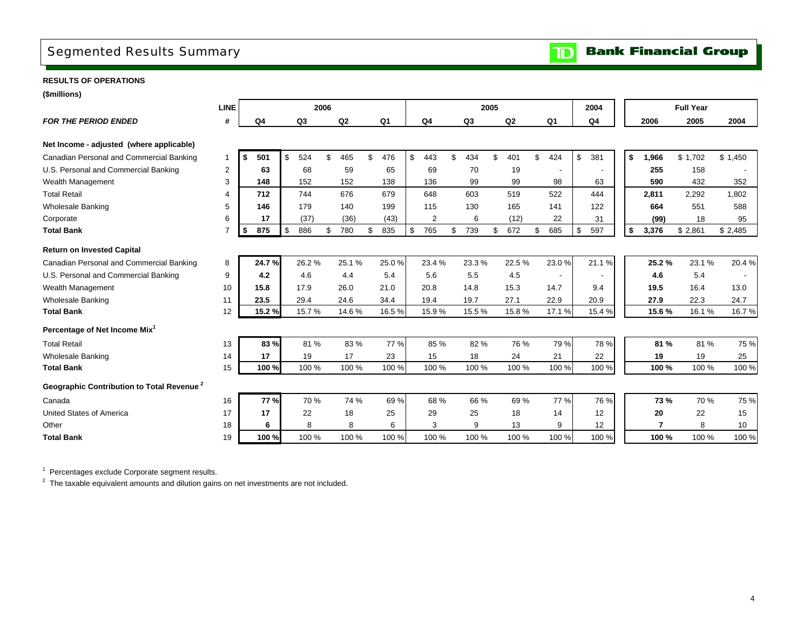## Segmented Results Summary

**RESULTS OF OPERATIONS**

**(\$millions)**

|                                                       | <b>LINE</b>    |     |       |           | 2006 |       |           |                |           | 2005 |                |     |                | 2004      |    |       | <b>Full Year</b> |         |
|-------------------------------------------------------|----------------|-----|-------|-----------|------|-------|-----------|----------------|-----------|------|----------------|-----|----------------|-----------|----|-------|------------------|---------|
| <b>FOR THE PERIOD ENDED</b>                           | #              |     | Q4    | Q3        |      | Q2    | Q1        | Q <sub>4</sub> | Q3        |      | Q <sub>2</sub> |     | Q <sub>1</sub> | Q4        |    | 2006  | 2005             | 2004    |
|                                                       |                |     |       |           |      |       |           |                |           |      |                |     |                |           |    |       |                  |         |
| Net Income - adjusted (where applicable)              |                |     |       |           |      |       |           |                |           |      |                |     |                |           |    |       |                  |         |
| Canadian Personal and Commercial Banking              |                | -\$ | 501   | \$<br>524 | \$   | 465   | \$<br>476 | \$<br>443      | \$<br>434 | \$   | 401            | \$  | 424            | \$<br>381 | \$ | 1,966 | \$1,702          | \$1,450 |
| U.S. Personal and Commercial Banking                  | $\overline{2}$ |     | 63    | 68        |      | 59    | 65        | 69             | 70        |      | 19             |     |                |           |    | 255   | 158              |         |
| Wealth Management                                     | 3              |     | 148   | 152       |      | 152   | 138       | 136            | 99        |      | 99             |     | 98             | 63        |    | 590   | 432              | 352     |
| <b>Total Retail</b>                                   | 4              |     | 712   | 744       |      | 676   | 679       | 648            | 603       |      | 519            |     | 522            | 444       |    | 2,811 | 2,292            | 1.802   |
| <b>Wholesale Banking</b>                              | 5              |     | 146   | 179       |      | 140   | 199       | 115            | 130       |      | 165            |     | 141            | 122       |    | 664   | 551              | 588     |
| Corporate                                             | 6              |     | 17    | (37)      |      | (36)  | (43)      | $\overline{2}$ | 6         |      | (12)           |     | 22             | 31        |    | (99)  | 18               | 95      |
| <b>Total Bank</b>                                     |                | -\$ | 875   | \$<br>886 | \$   | 780   | \$<br>835 | \$<br>765      | \$<br>739 | \$   | 672            | \$. | 685            | \$<br>597 | \$ | 3,376 | \$2,861          | \$2,485 |
| <b>Return on Invested Capital</b>                     |                |     |       |           |      |       |           |                |           |      |                |     |                |           |    |       |                  |         |
| Canadian Personal and Commercial Banking              | 8              |     | 24.7% | 26.2%     |      | 25.1% | 25.0%     | 23.4 %         | 23.3%     |      | 22.5%          |     | 23.0%          | 21.1%     |    | 25.2% | 23.1%            | 20.4%   |
| U.S. Personal and Commercial Banking                  | 9              |     | 4.2   | 4.6       |      | 4.4   | 5.4       | 5.6            | 5.5       |      | 4.5            |     |                |           |    | 4.6   | 5.4              |         |
| Wealth Management                                     | 10             |     | 15.8  | 17.9      |      | 26.0  | 21.0      | 20.8           | 14.8      |      | 15.3           |     | 14.7           | 9.4       |    | 19.5  | 16.4             | 13.0    |
| <b>Wholesale Banking</b>                              | 11             |     | 23.5  | 29.4      |      | 24.6  | 34.4      | 19.4           | 19.7      |      | 27.1           |     | 22.9           | 20.9      |    | 27.9  | 22.3             | 24.7    |
| <b>Total Bank</b>                                     | 12             |     | 15.2% | 15.7%     |      | 14.6% | 16.5%     | 15.9%          | 15.5%     |      | 15.8%          |     | 17.1%          | 15.4%     |    | 15.6% | 16.1%            | 16.7%   |
| Percentage of Net Income Mix <sup>1</sup>             |                |     |       |           |      |       |           |                |           |      |                |     |                |           |    |       |                  |         |
| <b>Total Retail</b>                                   | 13             |     | 83 %  | 81 %      |      | 83%   | 77 %      | 85 %           | 82%       |      | 76 %           |     | 79 %           | 78 %      |    | 81%   | 81 %             | 75%     |
| <b>Wholesale Banking</b>                              | 14             |     | 17    | 19        |      | 17    | 23        | 15             | 18        |      | 24             |     | 21             | 22        |    | 19    | 19               | 25      |
| <b>Total Bank</b>                                     | 15             |     | 100 % | 100 %     |      | 100 % | 100 %     | 100 %          | 100 %     |      | 100 %          |     | 100 %          | 100 %     |    | 100 % | 100 %            | 100 %   |
| Geographic Contribution to Total Revenue <sup>2</sup> |                |     |       |           |      |       |           |                |           |      |                |     |                |           |    |       |                  |         |
| Canada                                                | 16             |     | 77%   | 70 %      |      | 74 %  | 69%       | 68 %           | 66 %      |      | 69 %           |     | 77 %           | 76 %      |    | 73%   | 70 %             | 75 %    |
| <b>United States of America</b>                       | 17             |     | 17    | 22        |      | 18    | 25        | 29             | 25        |      | 18             |     | 14             | 12        |    | 20    | 22               | 15      |
| Other                                                 | 18             |     | 6     | 8         |      | 8     | 6         | 3              | 9         |      | 13             |     | 9              | 12        |    | 7     | 8                | 10      |
| <b>Total Bank</b>                                     | 19             |     | 100 % | 100 %     |      | 100 % | 100 %     | 100 %          | 100 %     |      | 100 %          |     | 100 %          | 100 %     |    | 100 % | 100 %            | 100 %   |

<sup>1</sup> Percentages exclude Corporate segment results.

 $2$  The taxable equivalent amounts and dilution gains on net investments are not included.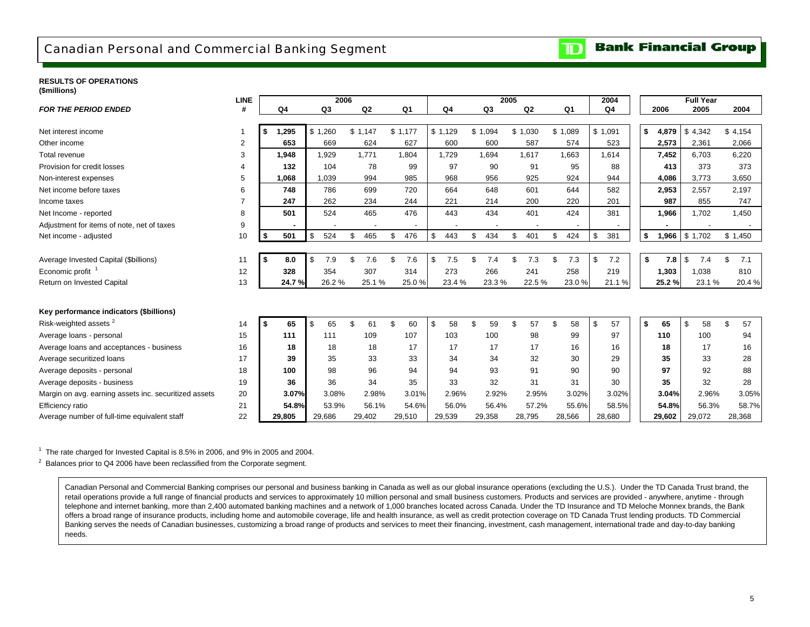### Canadian Personal and Commercial Banking Segment

#### **Bank Financial Group**  $\mathbf{D}$

### **RESULTS OF OPERATIONS**

| (\$millions) |  |
|--------------|--|
|              |  |

|                                                       | <b>LINE</b>    |      |        |         | 2006  |         |        |           |       |                |       |           | 2005 |         |           | 2004           |             | <b>Full Year</b> |           |
|-------------------------------------------------------|----------------|------|--------|---------|-------|---------|--------|-----------|-------|----------------|-------|-----------|------|---------|-----------|----------------|-------------|------------------|-----------|
| <b>FOR THE PERIOD ENDED</b>                           | #              |      | Q4     | Q3      |       |         | Q2     | Q1        |       | Q <sub>4</sub> |       | Q3        |      | Q2      | Q1        | Q <sub>4</sub> | 2006        | 2005             | 2004      |
|                                                       |                |      |        |         |       |         |        |           |       |                |       |           |      |         |           |                |             |                  |           |
| Net interest income                                   | -1             | \$   | 1,295  | \$1,260 |       | \$1,147 |        | \$1,177   |       | \$1,129        |       | \$1,094   |      | \$1,030 | \$1,089   | \$1,091        | \$<br>4,879 | \$4,342          | \$4,154   |
| Other income                                          | 2              |      | 653    |         | 669   |         | 624    | 627       |       | 600            |       | 600       |      | 587     | 574       | 523            | 2,573       | 2,361            | 2,066     |
| Total revenue                                         | 3              |      | 1,948  | 1,929   |       |         | 1,771  | 1,804     |       | 1,729          |       | 1,694     |      | 1,617   | 1,663     | 1,614          | 7,452       | 6,703            | 6,220     |
| Provision for credit losses                           | $\overline{4}$ |      | 132    |         | 104   |         | 78     | 99        |       |                | 97    | 90        |      | 91      | 95        | 88             | 413         | 373              | 373       |
| Non-interest expenses                                 | 5              |      | 1,068  | 1,039   |       |         | 994    | 985       |       | 968            |       | 956       |      | 925     | 924       | 944            | 4,086       | 3,773            | 3,650     |
| Net income before taxes                               | 6              |      | 748    |         | 786   |         | 699    | 720       |       | 664            |       | 648       |      | 601     | 644       | 582            | 2,953       | 2,557            | 2,197     |
| Income taxes                                          | $\overline{7}$ |      | 247    |         | 262   |         | 234    | 244       |       | 221            |       | 214       |      | 200     | 220       | 201            | 987         | 855              | 747       |
| Net Income - reported                                 | 8              |      | 501    |         | 524   |         | 465    | 476       |       | 443            |       | 434       |      | 401     | 424       | 381            | 1,966       | 1,702            | 1,450     |
| Adjustment for items of note, net of taxes            | 9              |      |        |         |       |         |        |           |       |                |       |           |      |         |           |                |             |                  |           |
| Net income - adjusted                                 | 10             |      | 501    | \$      | 524   | \$      | 465    | 476<br>\$ |       | \$<br>443      |       | 434<br>\$ | \$   | 401     | 424<br>\$ | \$<br>381      | \$<br>1,966 | \$1,702          | \$1,450   |
|                                                       |                |      |        |         |       |         |        |           |       |                |       |           |      |         |           |                |             |                  |           |
| Average Invested Capital (\$billions)                 | 11             | l \$ | 8.0    | \$      | 7.9   |         | 7.6    | \$<br>7.6 |       | \$             | 7.5   | \$<br>7.4 | \$   | 7.3     | £.<br>7.3 | \$<br>7.2      | \$<br>7.8   | \$<br>7.4        | \$<br>7.1 |
| Economic profit <sup>1</sup>                          | 12             |      | 328    |         | 354   |         | 307    | 314       |       | 273            |       | 266       |      | 241     | 258       | 219            | 1,303       | 1,038            | 810       |
| Return on Invested Capital                            | 13             |      | 24.7%  |         | 26.2% |         | 25.1 % |           | 25.0% |                | 23.4% | 23.3%     |      | 22.5 %  | 23.0%     | 21.1%          | 25.2%       | 23.1%            | 20.4%     |
|                                                       |                |      |        |         |       |         |        |           |       |                |       |           |      |         |           |                |             |                  |           |
| Key performance indicators (\$billions)               |                |      |        |         |       |         |        |           |       |                |       |           |      |         |           |                |             |                  |           |
| Risk-weighted assets <sup>2</sup>                     |                | $-5$ |        | \$      |       |         |        | \$        |       |                |       | \$        |      |         | \$        |                |             |                  |           |
|                                                       | 14             |      | 65     |         | 65    |         | 61     | 60        |       | \$             | 58    | 59        | \$   | 57      | 58        | \$<br>57       | \$<br>65    | \$<br>58         | \$<br>57  |
| Average loans - personal                              | 15             |      | 111    |         | 111   |         | 109    | 107       |       | 103            |       | 100       |      | 98      | 99        | 97             | 110         | 100              | 94        |
| Average loans and acceptances - business              | 16             |      | 18     |         | 18    |         | 18     | 17        |       |                | 17    | 17        |      | 17      | 16        | 16             | 18          | 17               | 16        |
| Average securitized loans                             | 17             |      | 39     |         | 35    |         | 33     | 33        |       |                | 34    | 34        |      | 32      | 30        | 29             | 35          | 33               | 28        |
| Average deposits - personal                           | 18             |      | 100    |         | 98    |         | 96     | 94        |       |                | 94    | 93        |      | 91      | 90        | 90             | 97          | 92               | 88        |
| Average deposits - business                           | 19             |      | 36     |         | 36    |         | 34     |           | 35    |                | 33    | 32        |      | 31      | 31        | 30             | 35          | 32               | 28        |
| Margin on avg. earning assets inc. securitized assets | 20             |      | 3.07%  |         | 3.08% |         | 2.98%  |           | 3.01% |                | 2.96% | 2.92%     |      | 2.95%   | 3.02%     | 3.02%          | 3.04%       | 2.96%            | 3.05%     |
| Efficiency ratio                                      | 21             |      | 54.8%  |         | 53.9% |         | 56.1%  |           | 54.6% |                | 56.0% | 56.4%     |      | 57.2%   | 55.6%     | 58.5%          | 54.8%       | 56.3%            | 58.7%     |
| Average number of full-time equivalent staff          | 22             |      | 29,805 | 29,686  |       | 29,402  |        | 29,510    |       | 29,539         |       | 29,358    |      | 28,795  | 28,566    | 28,680         | 29,602      | 29,072           | 28,368    |

 $1$  The rate charged for Invested Capital is 8.5% in 2006, and 9% in 2005 and 2004.

 $2$  Balances prior to Q4 2006 have been reclassified from the Corporate segment.

Canadian Personal and Commercial Banking comprises our personal and business banking in Canada as well as our global insurance operations (excluding the U.S.). Under the TD Canada Trust brand, the retail operations provide a full range of financial products and services to approximately 10 million personal and small business customers. Products and services are provided - anywhere, anytime - through telephone and internet banking, more than 2,400 automated banking machines and a network of 1,000 branches located across Canada. Under the TD Insurance and TD Meloche Monnex brands, the Bank offers a broad range of insurance products, including home and automobile coverage, life and health insurance, as well as credit protection coverage on TD Canada Trust lending products. TD Commercial Banking serves the needs of Canadian businesses, customizing a broad range of products and services to meet their financing, investment, cash management, international trade and day-to-day banking needs.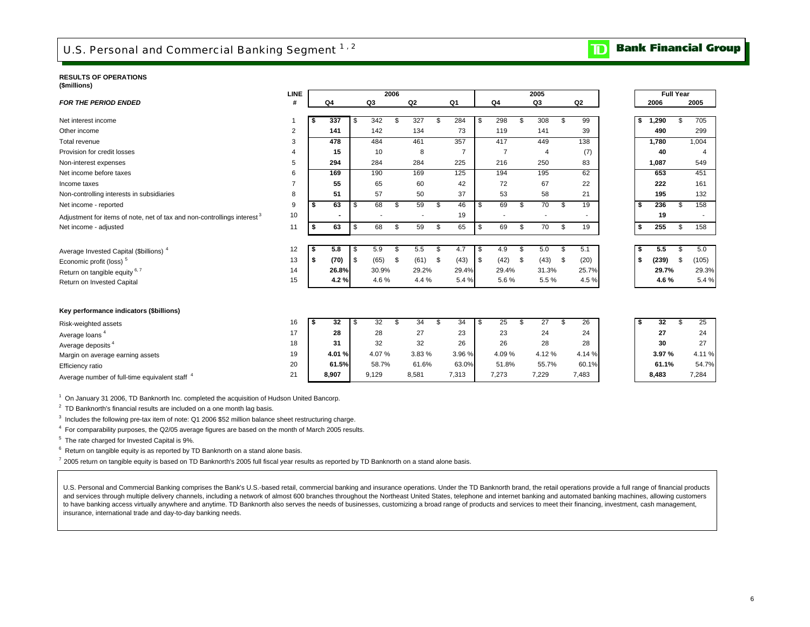#### **RESULTS OF OPERATIONS**

|  |  | (\$millions) |  |
|--|--|--------------|--|
|  |  |              |  |

|                                                                                     | <b>LINE</b>    |    |                |                | 2006 |                |                |      |                          | 2005           |                |    |       | <b>Full Year</b> |       |
|-------------------------------------------------------------------------------------|----------------|----|----------------|----------------|------|----------------|----------------|------|--------------------------|----------------|----------------|----|-------|------------------|-------|
| <b>FOR THE PERIOD ENDED</b>                                                         | #              |    | Q <sub>4</sub> | Q <sub>3</sub> |      | Q <sub>2</sub> | Q <sub>1</sub> |      | Q <sub>4</sub>           | Q <sub>3</sub> | Q <sub>2</sub> |    | 2006  |                  | 2005  |
|                                                                                     |                |    |                |                |      |                |                |      |                          |                |                |    |       |                  |       |
| Net interest income                                                                 |                | s  | 337            | \$<br>342      | \$   | 327            | \$<br>284      | \$   | 298                      | \$<br>308      | \$<br>99       | \$ | 1,290 | \$.              | 705   |
| Other income                                                                        | $\overline{2}$ |    | 141            | 142            |      | 134            | 73             |      | 119                      | 141            | 39             |    | 490   |                  | 299   |
| Total revenue                                                                       | 3              |    | 478            | 484            |      | 461            | 357            |      | 417                      | 449            | 138            |    | 1,780 |                  | 1,004 |
| Provision for credit losses                                                         | $\overline{4}$ |    | 15             | 10             |      | 8              | $\overline{7}$ |      | 7                        | $\overline{4}$ | (7)            |    | 40    |                  | 4     |
| Non-interest expenses                                                               | 5              |    | 294            | 284            |      | 284            | 225            |      | 216                      | 250            | 83             |    | 1,087 |                  | 549   |
| Net income before taxes                                                             | 6              |    | 169            | 190            |      | 169            | 125            |      | 194                      | 195            | 62             |    | 653   |                  | 451   |
| Income taxes                                                                        | 7              |    | 55             | 65             |      | 60             | 42             |      | 72                       | 67             | 22             |    | 222   |                  | 161   |
| Non-controlling interests in subsidiaries                                           | 8              |    | 51             | 57             |      | 50             | 37             |      | 53                       | 58             | 21             |    | 195   |                  | 132   |
| Net income - reported                                                               | 9              | \$ | 63             | \$<br>68       | \$   | 59             | \$<br>46       | \$   | 69                       | \$<br>70       | \$<br>19       | \$ | 236   | \$.              | 158   |
| Adjustment for items of note, net of tax and non-controllings interest <sup>3</sup> | 10             |    |                | $\blacksquare$ |      |                | 19             |      | $\overline{\phantom{a}}$ |                |                |    | 19    |                  |       |
| Net income - adjusted                                                               | 11             | \$ | 63             | \$<br>68       | \$   | 59             | \$<br>65       | \$   | 69                       | \$<br>70       | \$<br>19       | \$ | 255   | \$               | 158   |
|                                                                                     |                |    |                |                |      |                |                |      |                          |                |                |    |       |                  |       |
| Average Invested Capital (\$billions) <sup>4</sup>                                  | 12             | \$ | 5.8            | \$<br>5.9      | \$   | 5.5            | \$<br>4.7      | - \$ | 4.9                      | \$<br>5.0      | \$<br>5.1      | \$ | 5.5   | \$.              | 5.0   |
| Economic profit (loss) <sup>5</sup>                                                 | 13             | \$ | (70)           | \$<br>(65)     | \$   | (61)           | \$<br>(43)     | l \$ | (42)                     | \$<br>(43)     | \$<br>(20)     | \$ | (239) | \$               | (105) |
| Return on tangible equity 6, 7                                                      | 14             |    | 26.8%          | 30.9%          |      | 29.2%          | 29.4%          |      | 29.4%                    | 31.3%          | 25.7%          |    | 29.7% |                  | 29.3% |
| Return on Invested Capital                                                          | 15             |    | 4.2%           | 4.6%           |      | 4.4%           | 5.4%           |      | 5.6%                     | 5.5%           | 4.5%           |    | 4.6%  |                  | 5.4%  |
|                                                                                     |                |    |                |                |      |                |                |      |                          |                |                |    |       |                  |       |
|                                                                                     |                |    |                |                |      |                |                |      |                          |                |                |    |       |                  |       |
| Key performance indicators (\$billions)                                             |                |    |                |                |      |                |                |      |                          |                |                |    |       |                  |       |
| Risk-weighted assets                                                                | 16             | \$ | 32             | \$<br>32       | \$   | 34             | \$<br>34       | \$   | 25                       | \$<br>27       | \$<br>26       | \$ | 32    | \$.              | 25    |
| Average loans <sup>4</sup>                                                          | 17             |    | 28             | 28             |      | 27             | 23             |      | 23                       | 24             | 24             |    | 27    |                  | 24    |
| Average deposits <sup>4</sup>                                                       | 18             |    | 31             | 32             |      | 32             | 26             |      | 26                       | 28             | 28             |    | 30    |                  | 27    |
| Margin on average earning assets                                                    | 19             |    | 4.01%          | 4.07%          |      | 3.83%          | 3.96%          |      | 4.09%                    | 4.12%          | 4.14 %         |    | 3.97% |                  | 4.11% |
| Efficiency ratio                                                                    | 20             |    | 61.5%          | 58.7%          |      | 61.6%          | 63.0%          |      | 51.8%                    | 55.7%          | 60.1%          |    | 61.1% |                  | 54.7% |
| Average number of full-time equivalent staff <sup>4</sup>                           | 21             |    | 8,907          | 9,129          |      | 8,581          | 7,313          |      | 7,273                    | 7,229          | 7,483          |    | 8,483 |                  | 7,284 |
|                                                                                     |                |    |                |                |      |                |                |      |                          |                |                |    |       |                  |       |

1 On January 31 2006, TD Banknorth Inc. completed the acquisition of Hudson United Bancorp.

<sup>2</sup> TD Banknorth's financial results are included on a one month lag basis.

<sup>3</sup> Includes the following pre-tax item of note: Q1 2006 \$52 million balance sheet restructuring charge.

4 For comparability purposes, the Q2/05 average figures are based on the month of March 2005 results.

5 The rate charged for Invested Capital is 9%.

 $6$  Return on tangible equity is as reported by TD Banknorth on a stand alone basis.

 $7$  2005 return on tangible equity is based on TD Banknorth's 2005 full fiscal year results as reported by TD Banknorth on a stand alone basis.

U.S. Personal and Commercial Banking comprises the Bank's U.S.-based retail, commercial banking and insurance operations. Under the TD Banknorth brand, the retail operations provide a full range of financial products and services through multiple delivery channels, including a network of almost 600 branches throughout the Northeast United States, telephone and internet banking and automated banking machines, allowing customers to have banking access virtually anywhere and anytime. TD Banknorth also serves the needs of businesses, customizing a broad range of products and services to meet their financing, investment, cash management, insurance, international trade and day-to-day banking needs.

#### **Bank Financial Group**  $\overline{\mathbf{D}}$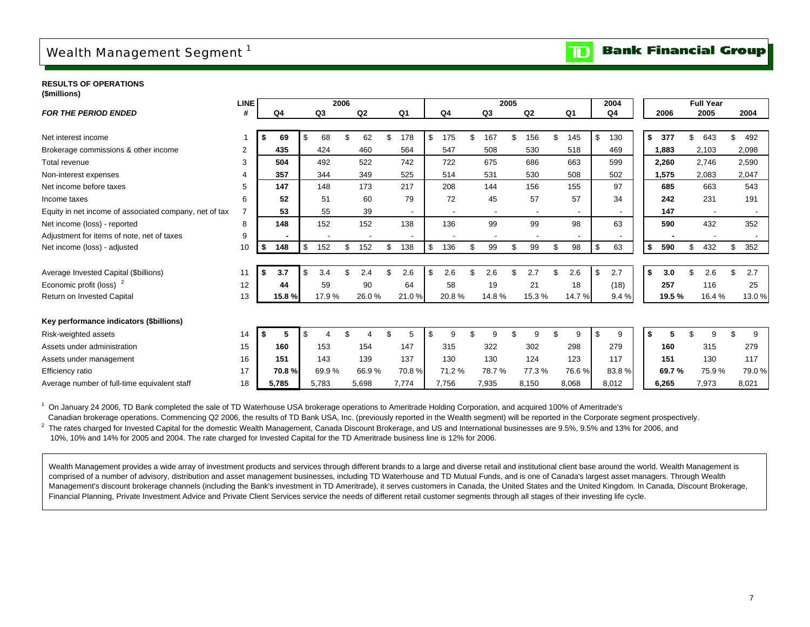## Wealth Management Segment<sup>1</sup>

#### **Bank Financial Group**  $\overline{\mathbf{D}}$

**RESULTS OF OPERATIONS(\$millions)**

|                                                        | <b>LINE</b> |           |                | 2006 |       |     |                          |     |       |    |                          | 2005 |       |    |                | 2004           |           |     | <b>Full Year</b> |     |       |
|--------------------------------------------------------|-------------|-----------|----------------|------|-------|-----|--------------------------|-----|-------|----|--------------------------|------|-------|----|----------------|----------------|-----------|-----|------------------|-----|-------|
| <b>FOR THE PERIOD ENDED</b>                            | #           | Q4        | Q <sub>3</sub> |      | Q2    |     | Q <sub>1</sub>           |     | Q4    |    | Q3                       |      | Q2    |    | Q <sub>1</sub> | Q <sub>4</sub> | 2006      |     | 2005             |     | 2004  |
|                                                        |             |           |                |      |       |     |                          |     |       |    |                          |      |       |    |                |                |           |     |                  |     |       |
| Net interest income                                    |             | 69        | \$<br>68       |      | 62    |     | 178                      | \$  | 175   |    | 167                      | \$   | 156   | £. | 145            | \$<br>130      | \$<br>377 | \$. | 643              | \$. | 492   |
| Brokerage commissions & other income                   | 2           | 435       | 424            |      | 460   |     | 564                      |     | 547   |    | 508                      |      | 530   |    | 518            | 469            | 1,883     |     | 2,103            |     | 2,098 |
| <b>Total revenue</b>                                   | 3           | 504       | 492            |      | 522   |     | 742                      |     | 722   |    | 675                      |      | 686   |    | 663            | 599            | 2,260     |     | 2,746            |     | 2,590 |
| Non-interest expenses                                  | 4           | 357       | 344            |      | 349   |     | 525                      |     | 514   |    | 531                      |      | 530   |    | 508            | 502            | 1,575     |     | 2,083            |     | 2,047 |
| Net income before taxes                                | 5           | 147       | 148            |      | 173   |     | 217                      |     | 208   |    | 144                      |      | 156   |    | 155            | 97             | 685       |     | 663              |     | 543   |
| Income taxes                                           | 6           | 52        | 51             |      | 60    |     | 79                       |     | 72    |    | 45                       |      | 57    |    | 57             | 34             | 242       |     | 231              |     | 191   |
| Equity in net income of associated company, net of tax |             | 53        | 55             |      | 39    |     | $\overline{\phantom{a}}$ |     |       |    | $\overline{\phantom{a}}$ |      |       |    |                |                | 147       |     |                  |     |       |
| Net income (loss) - reported                           | 8           | 148       | 152            |      | 152   |     | 138                      |     | 136   |    | 99                       |      | 99    |    | 98             | 63             | 590       |     | 432              |     | 352   |
| Adjustment for items of note, net of taxes             | 9           |           |                |      |       |     |                          |     |       |    |                          |      |       |    |                |                |           |     |                  |     |       |
| Net income (loss) - adjusted                           | 10          | \$<br>148 | \$<br>152      | \$   | 152   | \$  | 138                      | \$  | 136   | £. | 99                       |      | 99    | £. | 98             | \$<br>63       | \$<br>590 | \$  | 432              | \$  | 352   |
|                                                        |             |           |                |      |       |     |                          |     |       |    |                          |      |       |    |                |                |           |     |                  |     |       |
| Average Invested Capital (\$billions)                  | 11          | \$<br>3.7 | \$<br>3.4      | \$   | 2.4   | \$. | 2.6                      | \$. | 2.6   | \$ | 2.6                      | \$   | 2.7   | £. | 2.6            | \$<br>2.7      | \$<br>3.0 | \$. | 2.6              | \$  | 2.7   |
| Economic profit (loss) <sup>2</sup>                    | 12          | 44        | 59             |      | 90    |     | 64                       |     | 58    |    | 19                       |      | 21    |    | 18             | (18)           | 257       |     | 116              |     | 25    |
| Return on Invested Capital                             | 13          | 15.8 %    | 17.9%          |      | 26.0% |     | 21.0%                    |     | 20.8% |    | 14.8%                    |      | 15.3% |    | 14.7%          | 9.4 %          | 19.5%     |     | 16.4%            |     | 13.0% |
|                                                        |             |           |                |      |       |     |                          |     |       |    |                          |      |       |    |                |                |           |     |                  |     |       |
| Key performance indicators (\$billions)                |             |           |                |      |       |     |                          |     |       |    |                          |      |       |    |                |                |           |     |                  |     |       |
| Risk-weighted assets                                   | 14          | 5         |                |      |       |     | 5                        | \$  | 9     |    | 9                        |      | 9     |    | 9              | \$<br>9        | \$        |     | 9                |     | 9     |
| Assets under administration                            | 15          | 160       | 153            |      | 154   |     | 147                      |     | 315   |    | 322                      |      | 302   |    | 298            | 279            | 160       |     | 315              |     | 279   |
| Assets under management                                | 16          | 151       | 143            |      | 139   |     | 137                      |     | 130   |    | 130                      |      | 124   |    | 123            | 117            | 151       |     | 130              |     | 117   |
| <b>Efficiency ratio</b>                                | 17          | 70.8%     | 69.9%          |      | 66.9% |     | 70.8%                    |     | 71.2% |    | 78.7%                    |      | 77.3% |    | 76.6%          | 83.8%          | 69.7%     |     | 75.9%            |     | 79.0% |
| Average number of full-time equivalent staff           | 18          | 5,785     | 5,783          |      | 5,698 |     | 7,774                    |     | 7,756 |    | 7,935                    |      | 8,150 |    | 8,068          | 8,012          | 6,265     |     | 7,973            |     | 8,021 |

<sup>1</sup> On January 24 2006, TD Bank completed the sale of TD Waterhouse USA brokerage operations to Ameritrade Holding Corporation, and acquired 100% of Ameritrade's

 Canadian brokerage operations. Commencing Q2 2006, the results of TD Bank USA, Inc. (previously reported in the Wealth segment) will be reported in the Corporate segment prospectively. <sup>2</sup> The rates charged for Invested Capital for the domestic Wealth Management, Canada Discount Brokerage, and US and International businesses are 9.5%, 9.5% and 13% for 2006, and

10%, 10% and 14% for 2005 and 2004. The rate charged for Invested Capital for the TD Ameritrade business line is 12% for 2006.

Wealth Management provides a wide array of investment products and services through different brands to a large and diverse retail and institutional client base around the world. Wealth Management is comprised of a number of advisory, distribution and asset management businesses, including TD Waterhouse and TD Mutual Funds, and is one of Canada's largest asset managers. Through Wealth Management's discount brokerage channels (including the Bank's investment in TD Ameritrade), it serves customers in Canada, the United States and the United Kingdom. In Canada, Discount Brokerage, Financial Planning, Private Investment Advice and Private Client Services service the needs of different retail customer segments through all stages of their investing life cycle.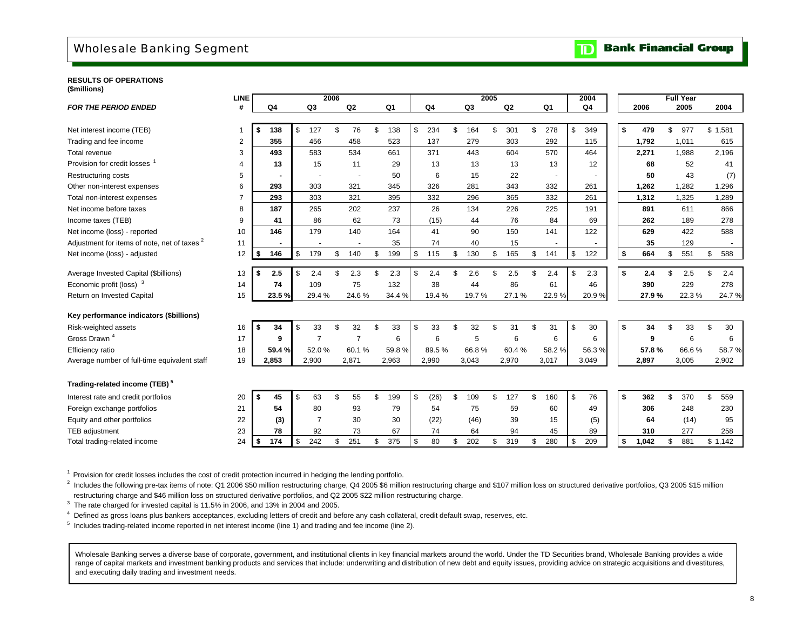## Wholesale Banking Segment

#### **Bank Financial Group**  $\mathbf{D}$

#### **RESULTS OF OPERATIONS(\$millions)**

|                                                         | <b>LINE</b> |           |               |       | 2006 |                |                 |            |                | 2005 |                |                | 2004           |             | <b>Full Year</b> |           |
|---------------------------------------------------------|-------------|-----------|---------------|-------|------|----------------|-----------------|------------|----------------|------|----------------|----------------|----------------|-------------|------------------|-----------|
| <b>FOR THE PERIOD ENDED</b>                             | #           | Q4        |               | Q3    |      | Q2             | Q <sub>1</sub>  | Q4         | Q <sub>3</sub> |      | Q <sub>2</sub> | Q <sub>1</sub> | Q <sub>4</sub> | 2006        | 2005             | 2004      |
|                                                         |             |           |               |       |      |                |                 |            |                |      |                |                |                |             |                  |           |
| Net interest income (TEB)                               | -1          | \$<br>138 | \$            | 127   | \$   | 76             | \$<br>138       | \$<br>234  | \$<br>164      | \$   | 301            | \$<br>278      | \$<br>349      | \$<br>479   | \$<br>977        | \$1,581   |
| Trading and fee income                                  | 2           | 355       |               | 456   |      | 458            | 523             | 137        | 279            |      | 303            | 292            | 115            | 1,792       | 1,011            | 615       |
| Total revenue                                           | 3           | 493       |               | 583   |      | 534            | 661             | 371        | 443            |      | 604            | 570            | 464            | 2,271       | 1,988            | 2,196     |
| Provision for credit losses <sup>1</sup>                |             | 13        |               | 15    |      | 11             | 29              | 13         | 13             |      | 13             | 13             | 12             | 68          | 52               | 41        |
| Restructuring costs                                     | 5           |           |               |       |      |                | 50              | 6          | 15             |      | 22             |                |                | 50          | 43               | (7)       |
| Other non-interest expenses                             | 6           | 293       |               | 303   |      | 321            | 345             | 326        | 281            |      | 343            | 332            | 261            | 1,262       | 1,282            | 1,296     |
| Total non-interest expenses                             |             | 293       |               | 303   |      | 321            | 395             | 332        | 296            |      | 365            | 332            | 261            | 1,312       | 1,325            | 1,289     |
| Net income before taxes                                 | 8           | 187       |               | 265   |      | 202            | 237             | 26         | 134            |      | 226            | 225            | 191            | 891         | 611              | 866       |
| Income taxes (TEB)                                      | 9           | 41        |               | 86    |      | 62             | 73              | (15)       | 44             |      | 76             | 84             | 69             | 262         | 189              | 278       |
| Net income (loss) - reported                            | 10          | 146       |               | 179   |      | 140            | 164             | 41         | 90             |      | 150            | 141            | 122            | 629         | 422              | 588       |
| Adjustment for items of note, net of taxes <sup>2</sup> | 11          |           |               |       |      |                | 35              | 74         | 40             |      | 15             |                |                | 35          | 129              | $\sim$    |
| Net income (loss) - adjusted                            | 12          | \$<br>146 | \$            | 179   | \$   | 140            | \$<br>199       | \$<br>115  | \$<br>130      | \$   | 165            | \$<br>141      | \$<br>122      | \$<br>664   | \$<br>551        | \$<br>588 |
|                                                         |             |           |               |       |      |                |                 |            |                |      |                |                |                |             |                  |           |
| Average Invested Capital (\$billions)                   | 13          | \$<br>2.5 | \$            | 2.4   | \$   | 2.3            | \$<br>2.3       | \$<br>2.4  | \$<br>2.6      | \$   | 2.5            | \$<br>2.4      | \$<br>2.3      | \$<br>2.4   | \$<br>2.5        | \$<br>2.4 |
| Economic profit (loss) <sup>3</sup>                     | 14          | 74        |               | 109   |      | 75             | 132             | 38         | 44             |      | 86             | 61             | 46             | 390         | 229              | 278       |
| Return on Invested Capital                              | 15          | 23.5%     |               | 29.4% |      | 24.6%          | 34.4 %          | 19.4 %     | 19.7%          |      | 27.1%          | 22.9%          | 20.9%          | 27.9%       | 22.3%            | 24.7%     |
| Key performance indicators (\$billions)                 |             |           |               |       |      |                |                 |            |                |      |                |                |                |             |                  |           |
| Risk-weighted assets                                    | 16          | \$<br>34  | $\mathsf{\$}$ | 33    | \$   | 32             | \$<br>33        | \$<br>33   | \$<br>32       | \$   | 31             | \$<br>31       | \$<br>30       | \$<br>34    | \$<br>33         | \$<br>30  |
| Gross Drawn <sup>4</sup>                                | 17          | 9         |               | 7     |      | $\overline{7}$ | $6\phantom{1}6$ | 6          | 5              |      | 6              | 6              | 6              | 9           | 6                | 6         |
| Efficiency ratio                                        | 18          | 59.4 %    |               | 52.0% |      | 60.1%          | 59.8%           | 89.5%      | 66.8%          |      | 60.4%          | 58.2%          | 56.3%          | 57.8%       | 66.6%            | 58.7%     |
| Average number of full-time equivalent staff            | 19          | 2,853     |               | 2,900 |      | 2,871          | 2,963           | 2,990      | 3,043          |      | 2,970          | 3,017          | 3,049          | 2,897       | 3,005            | 2,902     |
| Trading-related income (TEB) <sup>5</sup>               |             |           |               |       |      |                |                 |            |                |      |                |                |                |             |                  |           |
| Interest rate and credit portfolios                     | 20          | \$<br>45  | \$            | 63    | \$   | 55             | \$<br>199       | \$<br>(26) | \$<br>109      | \$   | 127            | \$<br>160      | \$<br>76       | \$<br>362   | \$<br>370        | \$<br>559 |
| Foreign exchange portfolios                             | 21          | 54        |               | 80    |      | 93             | 79              | 54         | 75             |      | 59             | 60             | 49             | 306         | 248              | 230       |
| Equity and other portfolios                             | 22          | (3)       |               | 7     |      | 30             | 30              | (22)       | (46)           |      | 39             | 15             | (5)            | 64          | (14)             | 95        |
| TEB adjustment                                          | 23          | 78        |               | 92    |      | 73             | 67              | 74         | 64             |      | 94             | 45             | 89             | 310         | 277              | 258       |
| Total trading-related income                            | 24          | \$<br>174 | \$            | 242   | \$   | 251            | \$<br>375       | \$<br>80   | \$<br>202      | \$   | 319            | \$<br>280      | \$<br>209      | \$<br>1,042 | \$<br>881        | \$1,142   |

<sup>1</sup> Provision for credit losses includes the cost of credit protection incurred in hedging the lending portfolio.

 $^{2}$  Includes the following pre-tax items of note: Q1 2006 \$50 million restructuring charge, Q4 2005 \$6 million restructuring charge and \$107 million loss on structured derivative portfolios, Q3 2005 \$15 million restructuring charge and \$46 million loss on structured derivative portfolios, and Q2 2005 \$22 million restructuring charge.

 $3$  The rate charged for invested capital is 11.5% in 2006, and 13% in 2004 and 2005.

4 Defined as gross loans plus bankers acceptances, excluding letters of credit and before any cash collateral, credit default swap, reserves, etc.

 $<sup>5</sup>$  Includes trading-related income reported in net interest income (line 1) and trading and fee income (line 2).</sup>

Wholesale Banking serves a diverse base of corporate, government, and institutional clients in key financial markets around the world. Under the TD Securities brand, Wholesale Banking provides a wide range of capital markets and investment banking products and services that include: underwriting and distribution of new debt and equity issues, providing advice on strategic acquisitions and divestitures, and executing daily trading and investment needs.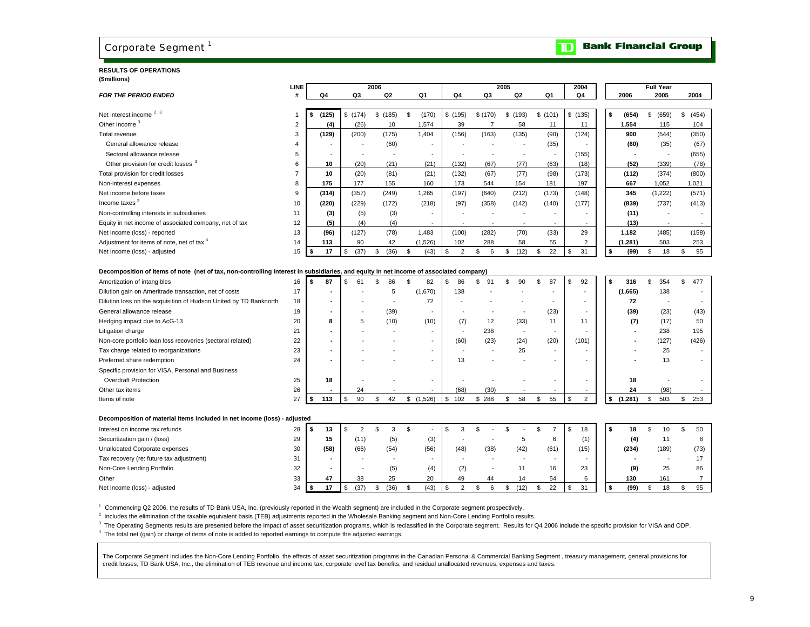## Corporate Segment<sup>1</sup>

#### **RESULTS OF OPERATIONS(\$millions)**

|                                                                                                                                       | LINE           |                          |            | 2006           |                          |         |          | 2005           |                |    | 2004           |             | <b>Full Year</b> |             |
|---------------------------------------------------------------------------------------------------------------------------------------|----------------|--------------------------|------------|----------------|--------------------------|---------|----------|----------------|----------------|----|----------------|-------------|------------------|-------------|
| <b>FOR THE PERIOD ENDED</b>                                                                                                           | #              | Q <sub>4</sub>           | Q3         | Q <sub>2</sub> | Q <sub>1</sub>           | Q4      | Q3       | Q <sub>2</sub> | Q <sub>1</sub> |    | Q <sub>4</sub> | 2006        | 2005             | 2004        |
|                                                                                                                                       |                |                          |            |                |                          |         |          |                |                |    |                |             |                  |             |
| Net interest income 2, 3                                                                                                              |                | \$<br>(125)              | \$(174)    | \$(185)        | \$<br>(170)              | \$(195) | \$(170)  | \$<br>(193)    | \$(101)        |    | \$(135)        | \$<br>(654) | \$<br>(659)      | \$<br>(454) |
| Other Income <sup>3</sup>                                                                                                             | $\overline{2}$ | (4)                      | (26)       | 10             | 1,574                    | 39      |          | 58             | 11             |    | 11             | 1,554       | 115              | 104         |
| Total revenue                                                                                                                         | 3              | (129)                    | (200)      | (175)          | 1,404                    | (156)   | (163)    | (135)          | (90)           |    | (124)          | 900         | (544)            | (350)       |
| General allowance release                                                                                                             |                |                          |            | (60)           |                          |         |          |                | (35)           |    |                | (60)        | (35)             | (67)        |
| Sectoral allowance release                                                                                                            | 5              | $\overline{\phantom{a}}$ |            |                | $\overline{\phantom{a}}$ |         |          |                |                |    | (155)          |             |                  | (655)       |
| Other provision for credit losses 3                                                                                                   | 6              | 10                       | (20)       | (21)           | (21)                     | (132)   | (67)     | (77)           | (63)           |    | (18)           | (52)        | (339)            | (78)        |
| Total provision for credit losses                                                                                                     |                | 10                       | (20)       | (81)           | (21)                     | (132)   | (67)     | (77)           | (98)           |    | (173)          | (112)       | (374)            | (800)       |
| Non-interest expenses                                                                                                                 | 8              | 175                      | 177        | 155            | 160                      | 173     | 544      | 154            | 181            |    | 197            | 667         | 1,052            | 1,021       |
| Net income before taxes                                                                                                               | $\mathbf{Q}$   | (314)                    | (357)      | (249)          | 1,265                    | (197)   | (640)    | (212)          | (173)          |    | (148)          | 345         | (1,222)          | (571)       |
| Income taxes <sup>2</sup>                                                                                                             | 10             | (220)                    | (229)      | (172)          | (218)                    | (97)    | (358)    | (142)          | (140)          |    | (177)          | (839)       | (737)            | (413)       |
| Non-controlling interests in subsidiaries                                                                                             | 11             | (3)                      | (5)        | (3)            |                          |         |          |                |                |    |                | (11)        |                  |             |
| Equity in net income of associated company, net of tax                                                                                | 12             | (5)                      | (4)        | (4)            | $\blacksquare$           |         |          |                |                |    |                | (13)        |                  |             |
| Net income (loss) - reported                                                                                                          | 13             | (96)                     | (127)      | (78)           | 1.483                    | (100)   | (282)    | (70)           | (33)           |    | 29             | 1,182       | (485)            | (158)       |
| Adjustment for items of note, net of tax 4                                                                                            | 14             | 113                      | 90         | 42             | (1,526)                  | 102     | 288      | 58             | 55             |    | 2              | (1, 281)    | 503              | 253         |
| Net income (loss) - adjusted                                                                                                          | 15             | 17                       | \$<br>(37) | (36)<br>\$     | \$<br>(43)               | 2       | \$.<br>6 | (12)<br>\$     | 22<br>\$       | \$ | 31             | \$<br>(99)  | 18<br>\$         | 95<br>\$    |
|                                                                                                                                       |                |                          |            |                |                          |         |          |                |                |    |                |             |                  |             |
| Decomposition of items of note (net of tax, non-controlling interest in subsidiaries, and equity in net income of associated company) |                |                          |            |                |                          |         |          |                |                |    |                |             |                  |             |
| Amortization of intangibles                                                                                                           | 16             | 87                       |            |                | 82                       | 86      | 91       | 90             | 87<br>\$       | S  | 92             | \$<br>316   | \$.<br>354       | \$<br>477   |
| Dilution gain on Ameritrade transaction, net of costs                                                                                 | 17             | $\blacksquare$           |            |                | (1,670)                  | 138     |          |                |                |    |                | (1,665)     | 138              |             |
| Dilution loss on the acquisition of Hudson United by TD Banknorth                                                                     | 18             | $\blacksquare$           |            |                | 72                       |         |          |                |                |    |                | 72          |                  |             |
| General allowance release                                                                                                             | 19             | $\overline{\phantom{a}}$ |            | (39)           | $\overline{\phantom{a}}$ |         |          |                | (23)           |    |                | (39)        | (23)             | (43)        |
| Hedging impact due to AcG-13                                                                                                          | 20             | 8                        | 5          | (10)           | (10)                     | (7)     | 12       | (33)           | 11             |    | 11             | (7)         | (17)             | 50          |
| Litigation charge                                                                                                                     | 21             |                          |            |                |                          |         | 238      |                |                |    |                |             | 238              | 195         |
| Nan assa nostalio logo logo seggundag (geotesel seletad)                                                                              | $\sim$         |                          |            |                |                          | (0)     | (22)     | (0.1)          | (2)            |    | (401)          |             | (407)            | (100)       |

| Non-core portfolio loan loss recoveries (sectoral related) | 22 | $\overline{\phantom{a}}$ |    |  |       | (60) | (23) | (24) | (20)                     | (101) |      | 127  | (426) |
|------------------------------------------------------------|----|--------------------------|----|--|-------|------|------|------|--------------------------|-------|------|------|-------|
| Tax charge related to reorganizations                      | 23 |                          |    |  |       |      |      | 25   | $\overline{\phantom{a}}$ |       |      | 25   |       |
| Preferred share redemption                                 | 24 |                          |    |  |       |      |      |      | $\overline{\phantom{a}}$ |       |      | 13   |       |
| Specific provision for VISA, Personal and Business         |    |                          |    |  |       |      |      |      |                          |       |      |      |       |
| <b>Overdraft Protection</b>                                | 25 | 18                       |    |  |       |      |      |      | $\overline{\phantom{a}}$ |       | 18   |      |       |
| Other tax items                                            | 26 |                          | 24 |  |       | (68) | (30) |      | $\overline{\phantom{a}}$ |       | 24   | (98) |       |
| Items of note                                              | 27 | 113                      |    |  | ,526) | 102  | 288  |      | 55                       |       | .281 | 503  | 253   |

#### **Decomposition of material items included in net income (loss) - adjusted**

| Interest on income tax refunds           | 28 | 13   |      |      |      |      |      |      |      | 18                       |  | 18    | 10                       | 50   |
|------------------------------------------|----|------|------|------|------|------|------|------|------|--------------------------|--|-------|--------------------------|------|
| Securitization gain / (loss)             | 29 | 15   | (11) | (5)  | (3)  |      |      |      |      |                          |  | (4)   |                          |      |
| Unallocated Corporate expenses           | 30 | (58) | (66) | (54) | (56) | (48) | (38) | (42) | (61) | (15)                     |  | (234) | (189)                    | (73) |
| Tax recovery (re: future tax adjustment) | 31 |      |      |      |      |      |      |      |      | $\overline{\phantom{a}}$ |  |       | $\overline{\phantom{a}}$ |      |
| Non-Core Lending Portfolio               | 32 |      |      | (5)  | (4)  | (2)  |      |      | 16   | 23                       |  | (9)   | 25                       | 86   |
| Other                                    | 33 | 47   | 38   | 25   | 20   | 49   | 44   |      | 54   |                          |  | 130   | 161                      |      |
| Net income (loss) - adjusted             | 34 | 47   | '37  | (36) | (43) |      |      | (12) | 22   | 31                       |  | (99)  | 18                       | 95   |

1 Commencing Q2 2006, the results of TD Bank USA, Inc. (previously reported in the Wealth segment) are included in the Corporate segment prospectively.

 $2$  Includes the elimination of the taxable equivalent basis (TEB) adjustments reported in the Wholesale Banking segment and Non-Core Lending Portfolio results.

<sup>3</sup> The Operating Segments results are presented before the impact of asset securitization programs, which is reclassified in the Corporate segment. Results for Q4 2006 include the specific provision for VISA and ODP.

4 The total net (gain) or charge of items of note is added to reported earnings to compute the adjusted earnings.

The Corporate Segment includes the Non-Core Lending Portfolio, the effects of asset securitization programs in the Canadian Personal & Commercial Banking Segment, treasury management, general provisions for credit losses, TD Bank USA, Inc., the elimination of TEB revenue and income tax, corporate level tax benefits, and residual unallocated revenues, expenses and taxes.

#### **Bank Financial Group**  $\mathbf{D}$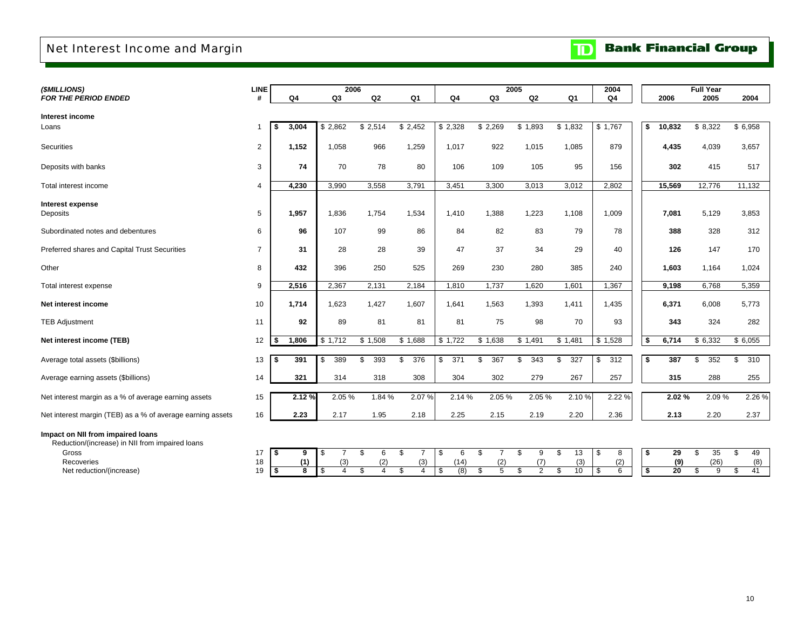## Net Interest Income and Margin

|  |  | <b>TD</b> Bank Financial Group |  |
|--|--|--------------------------------|--|
|--|--|--------------------------------|--|

| (\$MILLIONS)                                                                         | LINE           |                | 2006                        |                |                             |                     |                             | 2005                 |                 | 2004                |    |                 | <b>Full Year</b> |                 |
|--------------------------------------------------------------------------------------|----------------|----------------|-----------------------------|----------------|-----------------------------|---------------------|-----------------------------|----------------------|-----------------|---------------------|----|-----------------|------------------|-----------------|
| <b>FOR THE PERIOD ENDED</b>                                                          | #              | Q4             | Q <sub>3</sub>              | Q2             | Q <sub>1</sub>              | Q <sub>4</sub>      | Q3                          | Q2                   | Q <sub>1</sub>  | Q4                  |    | 2006            | 2005             | 2004            |
| Interest income                                                                      |                |                |                             |                |                             |                     |                             |                      |                 |                     |    |                 |                  |                 |
| Loans                                                                                |                | 3,004<br>-\$   | \$2,862                     | \$2,514        | \$2,452                     | \$2,328             | \$2,269                     | \$1,893              | \$1,832         | \$1,767             | \$ | 10,832          | \$8,322          | \$6,958         |
| <b>Securities</b>                                                                    | 2              | 1,152          | 1,058                       | 966            | 1,259                       | 1,017               | 922                         | 1,015                | 1,085           | 879                 |    | 4,435           | 4,039            | 3,657           |
| Deposits with banks                                                                  | 3              | 74             | 70                          | 78             | 80                          | 106                 | 109                         | 105                  | 95              | 156                 |    | 302             | 415              | 517             |
| Total interest income                                                                | $\overline{4}$ | 4,230          | 3.990                       | 3,558          | 3,791                       | 3,451               | 3,300                       | 3,013                | 3,012           | 2,802               |    | 15,569          | 12,776           | 11,132          |
| Interest expense<br>Deposits                                                         | 5              | 1,957          | 1,836                       | 1,754          | 1,534                       | 1,410               | 1,388                       | 1,223                | 1,108           | 1,009               |    | 7,081           | 5,129            | 3,853           |
| Subordinated notes and debentures                                                    | 6              | 96             | 107                         | 99             | 86                          | 84                  | 82                          | 83                   | 79              | 78                  |    | 388             | 328              | 312             |
| Preferred shares and Capital Trust Securities                                        | $\overline{7}$ | 31             | 28                          | 28             | 39                          | 47                  | 37                          | 34                   | 29              | 40                  |    | 126             | 147              | 170             |
| Other                                                                                | 8              | 432            | 396                         | 250            | 525                         | 269                 | 230                         | 280                  | 385             | 240                 |    | 1,603           | 1,164            | 1,024           |
| Total interest expense                                                               | 9              | 2,516          | 2,367                       | 2,131          | 2,184                       | 1,810               | 1,737                       | 1,620                | 1,601           | 1,367               |    | 9,198           | 6,768            | 5,359           |
| Net interest income                                                                  | 10             | 1,714          | 1,623                       | 1,427          | 1,607                       | 1,641               | 1,563                       | 1,393                | 1,411           | 1,435               |    | 6,371           | 6,008            | 5,773           |
| <b>TEB Adjustment</b>                                                                | 11             | 92             | 89                          | 81             | 81                          | 81                  | 75                          | 98                   | 70              | 93                  |    | 343             | 324              | 282             |
| Net interest income (TEB)                                                            | 12             | 1,806<br>- \$  | \$1,712                     | \$1,508        | \$1,688                     | \$1,722             | \$1,638                     | \$1,491              | \$1,481         | \$1,528             | \$ | 6,714           | \$6,332          | \$6,055         |
| Average total assets (\$billions)                                                    | 13             | 391            | 389<br>\$                   | \$<br>393      | 376<br>\$                   | $\mathbb{S}$<br>371 | \$<br>367                   | \$<br>343            | \$<br>327       | $\mathbb{S}$<br>312 | \$ | 387             | \$<br>352        | \$<br>310       |
| Average earning assets (\$billions)                                                  | 14             | 321            | 314                         | 318            | 308                         | 304                 | 302                         | 279                  | 267             | 257                 |    | 315             | 288              | 255             |
| Net interest margin as a % of average earning assets                                 | 15             | 2.12 %         | 2.05%                       | 1.84%          | 2.07%                       | 2.14 %              | 2.05%                       | 2.05%                | 2.10%           | 2.22%               |    | 2.02%           | 2.09%            | 2.26 %          |
| Net interest margin (TEB) as a % of average earning assets                           | 16             | 2.23           | 2.17                        | 1.95           | 2.18                        | 2.25                | 2.15                        | 2.19                 | 2.20            | 2.36                |    | 2.13            | 2.20             | 2.37            |
| Impact on NII from impaired loans<br>Reduction/(increase) in NII from impaired loans |                |                |                             |                |                             |                     |                             |                      |                 |                     |    |                 |                  |                 |
| Gross<br>Recoveries                                                                  | 17<br>18       | \$<br>9<br>(1) | \$<br>$\overline{7}$<br>(3) | \$<br>6<br>(2) | \$<br>$\overline{7}$<br>(3) | \$<br>6<br>(14)     | \$<br>$\overline{7}$<br>(2) | \$<br>9<br>(7)       | \$<br>13<br>(3) | \$<br>8<br>(2)      | \$ | 29<br>(9)       | \$<br>35<br>(26) | \$<br>49<br>(8) |
| Net reduction/(increase)                                                             | 19             | \$<br>8        | \$<br>$\overline{4}$        | \$<br>4        | \$<br>$\overline{4}$        | (8)<br>\$           | 5<br>\$                     | \$<br>$\overline{2}$ | \$<br>10        | \$<br>6             | S, | $\overline{20}$ | \$<br>9          | \$<br>41        |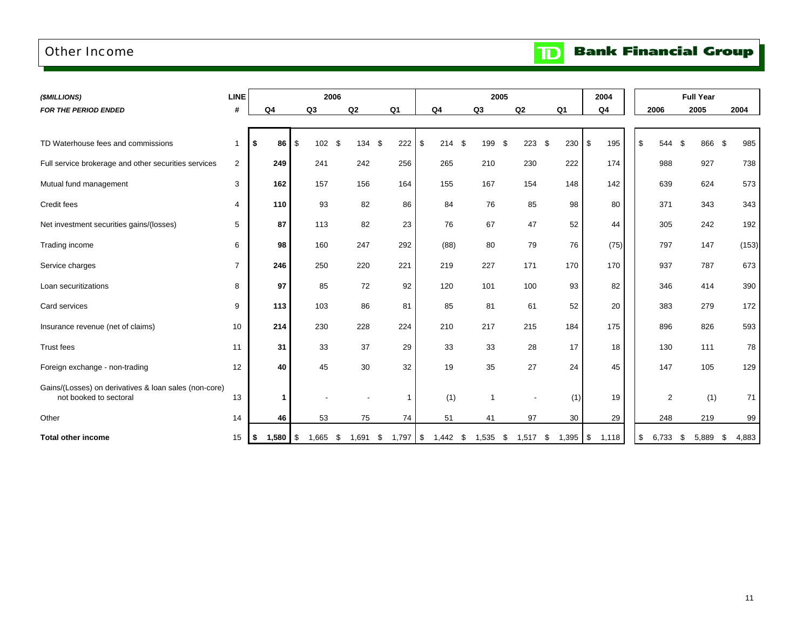### Other Income

**Bank Financial Group** 

 $\mathbf{D}$ 

| (\$MILLIONS)                                                                    | <b>LINE</b>    |                  |                | 2006        |           |                |                |      | 2005  |            |    |       | 2004           |                | <b>Full Year</b> |             |
|---------------------------------------------------------------------------------|----------------|------------------|----------------|-------------|-----------|----------------|----------------|------|-------|------------|----|-------|----------------|----------------|------------------|-------------|
| <b>FOR THE PERIOD ENDED</b>                                                     | #              | Q <sub>4</sub>   | Q <sub>3</sub> | Q2          |           | Q <sub>1</sub> | Q <sub>4</sub> |      | Q3    | Q2         |    | Q1    | Q <sub>4</sub> | 2006           | 2005             | 2004        |
|                                                                                 |                |                  |                |             |           |                |                |      |       |            |    |       |                |                |                  |             |
| TD Waterhouse fees and commissions                                              | $\mathbf{1}$   | $86$ \ $$$<br>\$ | 102            | \$          | 134<br>\$ | 222            | \$             | 214S | 199   | \$<br>223  | \$ | 230   | \$<br>195      | \$<br>544      | \$<br>866        | - \$<br>985 |
| Full service brokerage and other securities services                            | $\sqrt{2}$     | 249              | 241            |             | 242       | 256            | 265            |      | 210   | 230        |    | 222   | 174            | 988            | 927              | 738         |
| Mutual fund management                                                          | 3              | 162              | 157            |             | 156       | 164            | 155            |      | 167   | 154        |    | 148   | 142            | 639            | 624              | 573         |
| <b>Credit fees</b>                                                              | 4              | 110              | 93             |             | 82        | 86             | 84             |      | 76    | 85         |    | 98    | 80             | 371            | 343              | 343         |
| Net investment securities gains/(losses)                                        | 5              | 87               | 113            |             | 82        | 23             | 76             |      | 67    | 47         |    | 52    | 44             | 305            | 242              | 192         |
| Trading income                                                                  | 6              | 98               | 160            |             | 247       | 292            | (88)           |      | 80    | 79         |    | 76    | (75)           | 797            | 147              | (153)       |
| Service charges                                                                 | $\overline{7}$ | 246              | 250            |             | 220       | 221            | 219            |      | 227   | 171        |    | 170   | 170            | 937            | 787              | 673         |
| Loan securitizations                                                            | 8              | 97               | 85             |             | 72        | 92             | 120            |      | 101   | 100        |    | 93    | 82             | 346            | 414              | 390         |
| Card services                                                                   | 9              | 113              | 103            |             | 86        | 81             | 85             |      | 81    | 61         |    | 52    | 20             | 383            | 279              | 172         |
| Insurance revenue (net of claims)                                               | 10             | 214              | 230            |             | 228       | 224            | 210            |      | 217   | 215        |    | 184   | 175            | 896            | 826              | 593         |
| <b>Trust fees</b>                                                               | 11             | 31               | 33             |             | 37        | 29             | 33             |      | 33    | 28         |    | 17    | 18             | 130            | 111              | 78          |
| Foreign exchange - non-trading                                                  | 12             | 40               | 45             |             | 30        | 32             | 19             |      | 35    | 27         |    | 24    | 45             | 147            | 105              | 129         |
| Gains/(Losses) on derivatives & loan sales (non-core)<br>not booked to sectoral | 13             |                  |                |             |           | $\mathbf 1$    |                | (1)  |       |            |    | (1)   | 19             | $\overline{2}$ | (1)              | 71          |
| Other                                                                           | 14             | 46               | 53             |             | 75        | 74             | 51             |      | 41    |            | 97 | 30    | 29             | 248            | 219              | 99          |
| <b>Total other income</b>                                                       | 15             | $1,580$ \$<br>\$ | 1,665          | \$<br>1.691 | \$        | 1,797          | \$<br>1,442    | - 5  | 1,535 | 1.517<br>S | \$ | 1,395 | \$<br>1,118    | -\$<br>6,733   | \$<br>5.889      | 4,883<br>S  |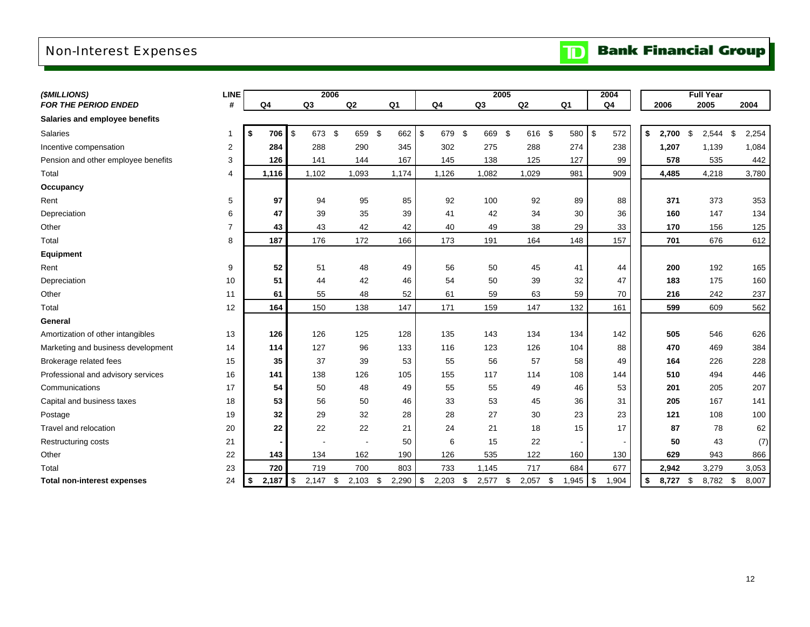## Non-Interest Expenses

# **TD** Bank Financial Group

| (\$MILLIONS)                        | <b>LINE</b>    |             |                | 2006           |                |                      |              | 2005           |                          | 2004                   |                  | <b>Full Year</b> |             |
|-------------------------------------|----------------|-------------|----------------|----------------|----------------|----------------------|--------------|----------------|--------------------------|------------------------|------------------|------------------|-------------|
| <b>FOR THE PERIOD ENDED</b>         | #              | Q4          | Q <sub>3</sub> | Q2             | Q <sub>1</sub> | Q <sub>4</sub>       | Q3           | Q <sub>2</sub> | Q <sub>1</sub>           | Q <sub>4</sub>         | 2006             | 2005             | 2004        |
| Salaries and employee benefits      |                |             |                |                |                |                      |              |                |                          |                        |                  |                  |             |
| Salaries                            | $\mathbf{1}$   | 706<br>\$   | \$<br>673 \$   | 659 \$         | 662            | $\sqrt[6]{3}$<br>679 | - \$<br>669  | \$<br>616 \$   | 580                      | \$<br>572              | \$<br>$2,700$ \$ | 2,544            | \$<br>2,254 |
| Incentive compensation              | $\overline{2}$ | 284         | 288            | 290            | 345            | 302                  | 275          | 288            | 274                      | 238                    | 1,207            | 1,139            | 1,084       |
| Pension and other employee benefits | 3              | 126         | 141            | 144            | 167            | 145                  | 138          | 125            | 127                      | 99                     | 578              | 535              | 442         |
| Total                               | 4              | 1,116       | 1,102          | 1,093          | 1,174          | 1,126                | 1,082        | 1,029          | 981                      | 909                    | 4,485            | 4,218            | 3,780       |
| Occupancy                           |                |             |                |                |                |                      |              |                |                          |                        |                  |                  |             |
| Rent                                | 5              | 97          | 94             | 95             | 85             | 92                   | 100          | 92             | 89                       | 88                     | 371              | 373              | 353         |
| Depreciation                        | 6              | 47          | 39             | 35             | 39             | 41                   | 42           | 34             | 30                       | 36                     | 160              | 147              | 134         |
| Other                               | $\overline{7}$ | 43          | 43             | 42             | 42             | 40                   | 49           | 38             | 29                       | 33                     | 170              | 156              | 125         |
| Total                               | 8              | 187         | 176            | 172            | 166            | 173                  | 191          | 164            | 148                      | 157                    | 701              | 676              | 612         |
| Equipment                           |                |             |                |                |                |                      |              |                |                          |                        |                  |                  |             |
| Rent                                | 9              | 52          | 51             | 48             | 49             | 56                   | 50           | 45             | 41                       | 44                     | 200              | 192              | 165         |
| Depreciation                        | 10             | 51          | 44             | 42             | 46             | 54                   | 50           | 39             | 32                       | 47                     | 183              | 175              | 160         |
| Other                               | 11             | 61          | 55             | 48             | 52             | 61                   | 59           | 63             | 59                       | 70                     | 216              | 242              | 237         |
| Total                               | 12             | 164         | 150            | 138            | 147            | 171                  | 159          | 147            | 132                      | 161                    | 599              | 609              | 562         |
| General                             |                |             |                |                |                |                      |              |                |                          |                        |                  |                  |             |
| Amortization of other intangibles   | 13             | 126         | 126            | 125            | 128            | 135                  | 143          | 134            | 134                      | 142                    | 505              | 546              | 626         |
| Marketing and business development  | 14             | 114         | 127            | 96             | 133            | 116                  | 123          | 126            | 104                      | 88                     | 470              | 469              | 384         |
| Brokerage related fees              | 15             | 35          | 37             | 39             | 53             | 55                   | 56           | 57             | 58                       | 49                     | 164              | 226              | 228         |
| Professional and advisory services  | 16             | 141         | 138            | 126            | 105            | 155                  | 117          | 114            | 108                      | 144                    | 510              | 494              | 446         |
| Communications                      | 17             | 54          | 50             | 48             | 49             | 55                   | 55           | 49             | 46                       | 53                     | 201              | 205              | 207         |
| Capital and business taxes          | 18             | 53          | 56             | 50             | 46             | 33                   | 53           | 45             | 36                       | 31                     | 205              | 167              | 141         |
| Postage                             | 19             | 32          | 29             | 32             | 28             | 28                   | 27           | 30             | 23                       | 23                     | 121              | 108              | 100         |
| Travel and relocation               | 20             | 22          | 22             | 22             | 21             | 24                   | 21           | 18             | 15                       | 17                     | 87               | 78               | 62          |
| Restructuring costs                 | 21             |             |                | $\blacksquare$ | 50             | 6                    | 15           | 22             | $\overline{\phantom{a}}$ |                        | 50               | 43               | (7)         |
| Other                               | 22             | 143         | 134            | 162            | 190            | 126                  | 535          | 122            | 160                      | 130                    | 629              | 943              | 866         |
| Total                               | 23             | 720         | 719            | 700            | 803            | 733                  | 1,145        | 717            | 684                      | 677                    | 2,942            | 3,279            | 3,053       |
| <b>Total non-interest expenses</b>  | 24             | \$<br>2,187 | \$<br>2,147    | \$<br>2,103    | 2,290<br>\$    | $\sqrt{3}$<br>2,203  | -\$<br>2,577 | \$<br>2,057    | 1,945<br>\$              | $\sqrt[6]{3}$<br>1,904 | \$<br>8,727      | \$<br>8,782 \$   | 8,007       |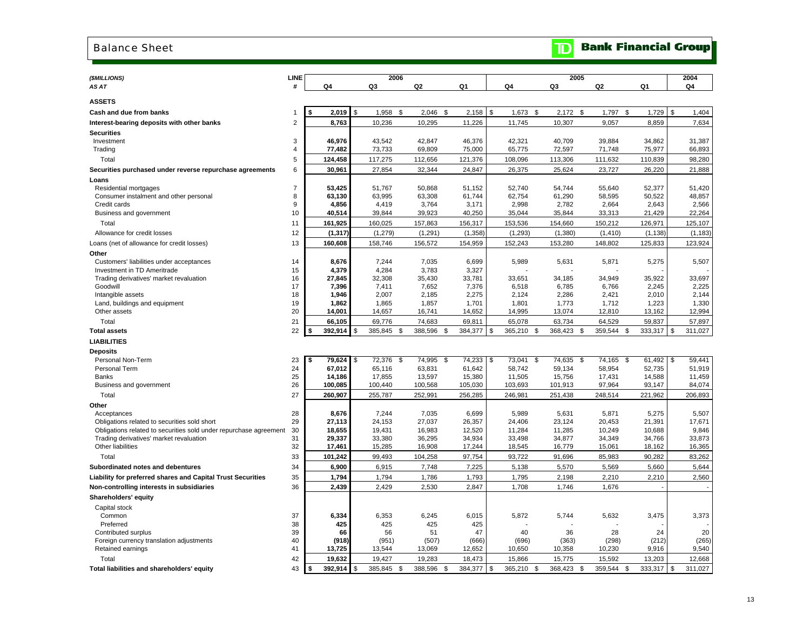#### Balance Sheet

| (\$MILLIONS)                                                      | <b>LINE</b>    |                         | 2006                         |                  |      |                   |                              |                      | 2005 |                   |      |                   |      | 2004              |
|-------------------------------------------------------------------|----------------|-------------------------|------------------------------|------------------|------|-------------------|------------------------------|----------------------|------|-------------------|------|-------------------|------|-------------------|
| AS AT                                                             |                | Q4                      | Q3                           | Q2               |      | Q1                | Q4                           | Q3                   |      | Q2                | Q1   |                   |      | Q4                |
| <b>ASSETS</b>                                                     |                |                         |                              |                  |      |                   |                              |                      |      |                   |      |                   |      |                   |
| Cash and due from banks                                           | -1             | 2.019<br>\$             | \$<br>1,958<br>\$            | $2,046$ \$       |      | 2,158             | \$<br>1,673<br><b>S</b>      | 2,172                | -S   | 1,797             | \$   | 1,729             | \$   | 1,404             |
| Interest-bearing deposits with other banks                        | 2              | 8,763                   | 10,236                       | 10,295           |      | 11,226            | 11,745                       | 10,307               |      | 9,057             |      | 8,859             |      | 7,634             |
| <b>Securities</b>                                                 |                |                         |                              |                  |      |                   |                              |                      |      |                   |      |                   |      |                   |
| Investment                                                        | 3              | 46,976                  | 43,542                       | 42,847           |      | 46,376            | 42,321                       | 40,709               |      | 39,884            |      | 34,862            |      | 31,387            |
| Trading                                                           | $\overline{4}$ | 77,482                  | 73,733                       | 69,809           |      | 75,000            | 65,775                       | 72,597               |      | 71,748            |      | 75,977            |      | 66,893            |
| Total                                                             | 5              | 124,458                 | 117,275                      | 112,656          |      | 121,376           | 108,096                      | 113,306              |      | 111,632           |      | 110,839           |      | 98,280            |
| Securities purchased under reverse repurchase agreements          | 6              | 30,961                  | 27,854                       | 32,344           |      | 24,847            | 26,375                       | 25,624               |      | 23,727            |      | 26,220            |      | 21,888            |
| Loans                                                             |                |                         |                              |                  |      |                   |                              |                      |      |                   |      |                   |      |                   |
| Residential mortgages                                             | $\overline{7}$ | 53,425                  | 51,767                       | 50,868           |      | 51,152            | 52,740                       | 54,744               |      | 55,640            |      | 52,377            |      | 51,420            |
| Consumer instalment and other personal                            | 8              | 63,130                  | 63,995                       | 63,308           |      | 61,744            | 62,754                       | 61,290               |      | 58,595            |      | 50,522            |      | 48,857            |
| Credit cards                                                      | 9              | 4,856                   | 4,419                        | 3,764            |      | 3,171             | 2,998                        | 2,782                |      | 2,664             |      | 2,643             |      | 2,566             |
| Business and government                                           | 10             | 40,514                  | 39,844                       | 39,923           |      | 40,250            | 35,044                       | 35,844               |      | 33,313            |      | 21,429            |      | 22,264            |
| Total                                                             | 11             | 161,925                 | 160,025                      | 157,863          |      | 156,317           | 153,536                      | 154,660              |      | 150,212           |      | 126,971           |      | 125,107           |
| Allowance for credit losses                                       | 12             | (1, 317)                | (1, 279)                     | (1, 291)         |      | (1, 358)          | (1, 293)                     | (1, 380)             |      | (1, 410)          |      | (1, 138)          |      | (1, 183)          |
| Loans (net of allowance for credit losses)                        | 13             | 160,608                 | 158,746                      | 156,572          |      | 154,959           | 152,243                      | 153,280              |      | 148,802           |      | 125,833           |      | 123,924           |
| Other                                                             |                |                         |                              |                  |      |                   |                              |                      |      |                   |      |                   |      |                   |
| Customers' liabilities under acceptances                          | 14             | 8,676                   | 7,244                        | 7,035            |      | 6,699             | 5,989                        | 5,631                |      | 5,871             |      | 5,275             |      | 5,507             |
| Investment in TD Ameritrade                                       | 15             | 4,379                   | 4,284                        | 3,783            |      | 3,327             |                              |                      |      |                   |      |                   |      |                   |
| Trading derivatives' market revaluation                           | 16             | 27,845                  | 32,308                       | 35,430           |      | 33,781            | 33,651                       | 34,185               |      | 34,949            |      | 35,922            |      | 33,697            |
| Goodwill                                                          | 17             | 7,396                   | 7,411                        | 7,652            |      | 7,376             | 6,518                        | 6,785                |      | 6,766             |      | 2,245             |      | 2,225             |
| Intangible assets                                                 | 18             | 1,946                   | 2,007                        | 2,185            |      | 2,275             | 2,124                        | 2,286                |      | 2,421             |      | 2,010             |      | 2,144             |
| Land, buildings and equipment<br>Other assets                     | 19<br>20       | 1.862<br>14,001         | 1,865<br>14,657              | 1.857<br>16,741  |      | 1,701<br>14,652   | 1,801<br>14,995              | 1,773<br>13,074      |      | 1,712<br>12,810   |      | 1,223<br>13,162   |      | 1,330<br>12,994   |
|                                                                   |                |                         |                              |                  |      |                   |                              |                      |      |                   |      |                   |      |                   |
| Total                                                             | 21<br>22       | 66,105<br>\$<br>392,914 | \$<br>69,776<br>385,845 \$   | 74,683           |      | 69,811<br>384,377 | 65,078<br>365,210            | 63,734<br>368,423 \$ |      | 64,529<br>359,544 |      | 59,837<br>333,317 | \$   | 57,897<br>311,027 |
| <b>Total assets</b>                                               |                |                         |                              | 388,596          | \$   |                   | \$<br>\$                     |                      |      |                   | - \$ |                   |      |                   |
| <b>LIABILITIES</b>                                                |                |                         |                              |                  |      |                   |                              |                      |      |                   |      |                   |      |                   |
| <b>Deposits</b>                                                   |                |                         |                              |                  |      |                   |                              |                      |      |                   |      |                   |      |                   |
| Personal Non-Term<br>Personal Term                                | 23<br>24       | \$<br>79,624<br>67,012  | \$<br>72,376<br>\$<br>65,116 | 74,995<br>63,831 | \$   | 74,233<br>61,642  | \$<br>73,041<br>\$<br>58,742 | 74,635<br>59,134     | \$   | 74,165<br>58,954  | \$   | 61,492<br>52,735  | \$   | 59,441<br>51,919  |
| <b>Banks</b>                                                      | 25             | 14,186                  | 17,855                       | 13,597           |      | 15,380            | 11,505                       | 15,756               |      | 17,431            |      | 14,588            |      | 11,459            |
| Business and government                                           | 26             | 100,085                 | 100,440                      | 100,568          |      | 105,030           | 103,693                      | 101,913              |      | 97,964            |      | 93,147            |      | 84,074            |
| Total                                                             | 27             | 260,907                 | 255,787                      | 252,991          |      | 256,285           | 246,981                      | 251,438              |      | 248,514           |      | 221,962           |      | 206,893           |
| Other                                                             |                |                         |                              |                  |      |                   |                              |                      |      |                   |      |                   |      |                   |
| Acceptances                                                       | 28             | 8,676                   | 7,244                        | 7,035            |      | 6,699             | 5,989                        | 5,631                |      | 5,871             |      | 5,275             |      | 5,507             |
| Obligations related to securities sold short                      | 29             | 27,113                  | 24,153                       | 27,037           |      | 26,357            | 24,406                       | 23,124               |      | 20,453            |      | 21,391            |      | 17,671            |
| Obligations related to securities sold under repurchase agreement | 30             | 18,655                  | 19,431                       | 16,983           |      | 12,520            | 11,284                       | 11,285               |      | 10,249            |      | 10,688            |      | 9,846             |
| Trading derivatives' market revaluation                           | 31             | 29,337                  | 33,380                       | 36,295           |      | 34,934            | 33,498                       | 34,877               |      | 34,349            |      | 34,766            |      | 33,873            |
| Other liabilities                                                 | 32             | 17,461                  | 15,285                       | 16,908           |      | 17,244            | 18,545                       | 16,779               |      | 15,061            |      | 18,162            |      | 16,365            |
| Total                                                             | 33             | 101,242                 | 99,493                       | 104,258          |      | 97,754            | 93,722                       | 91,696               |      | 85,983            |      | 90,282            |      | 83,262            |
| Subordinated notes and debentures                                 | 34             | 6,900                   | 6,915                        | 7,748            |      | 7,225             | 5,138                        | 5,570                |      | 5,569             |      | 5,660             |      | 5,644             |
| Liability for preferred shares and Capital Trust Securities       | 35             | 1,794                   | 1,794                        | 1,786            |      | 1,793             | 1,795                        | 2,198                |      | 2,210             |      | 2,210             |      | 2,560             |
| Non-controlling interests in subsidiaries                         | 36             | 2,439                   | 2,429                        | 2,530            |      | 2,847             | 1,708                        | 1,746                |      | 1,676             |      |                   |      |                   |
| Shareholders' equity                                              |                |                         |                              |                  |      |                   |                              |                      |      |                   |      |                   |      |                   |
| Capital stock                                                     |                |                         |                              |                  |      |                   |                              |                      |      |                   |      |                   |      |                   |
| Common                                                            | 37             | 6,334                   | 6,353                        | 6,245            |      | 6,015             | 5,872                        | 5,744                |      | 5,632             |      | 3,475             |      | 3,373             |
| Preferred                                                         | 38             | 425                     | 425                          | 425              |      | 425               |                              |                      |      |                   |      |                   |      |                   |
| Contributed surplus                                               | 39             | 66                      | 56                           | 51               |      | 47                | 40                           | 36                   |      | 28                |      | 24                |      | 20                |
| Foreign currency translation adjustments                          | 40             | (918)                   | (951)                        | (507)            |      | (666)             | (696)                        | (363)                |      | (298)             |      | (212)             |      | (265)             |
| Retained earnings                                                 | 41             | 13,725                  | 13,544                       | 13,069           |      | 12,652            | 10,650                       | 10,358               |      | 10,230            |      | 9,916             |      | 9,540             |
| Total                                                             | 42             | 19,632                  | 19,427                       | 19,283           |      | 18,473            | 15,866                       | 15,775               |      | 15,592            |      | 13,203            |      | 12,668            |
| Total liabilities and shareholders' equity                        | 43             | \$<br>392,914           | \$<br>385,845<br>- \$        | 388,596          | - \$ | 384,377           | \$<br>365,210<br>\$          | 368,423 \$           |      | 359,544           | \$   | 333,317           | l \$ | 311,027           |

**TD** Bank Financial Group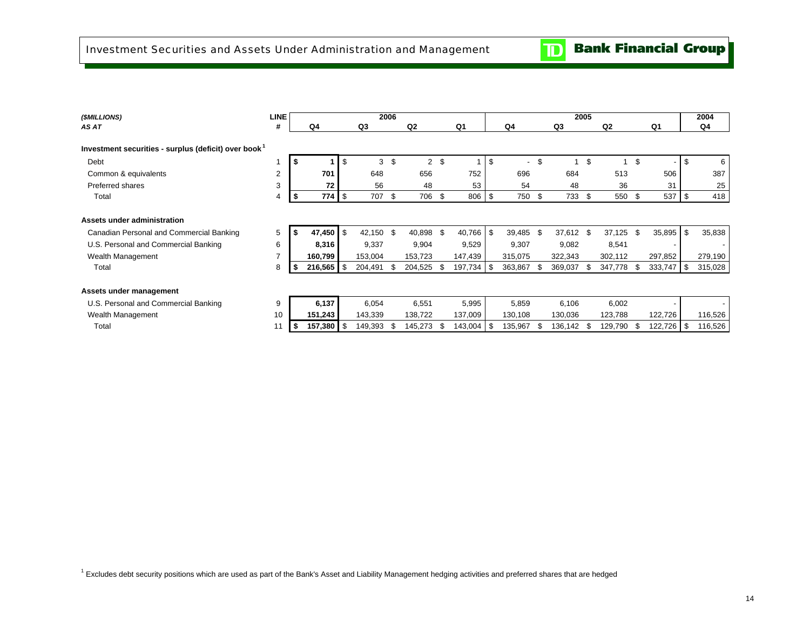| (\$MILLIONS)                                                     | <b>LINE</b>    |    |         |      |           | 2006 |                |      |         |     |                          |      | 2005    |     |                |         |            | 2004    |
|------------------------------------------------------------------|----------------|----|---------|------|-----------|------|----------------|------|---------|-----|--------------------------|------|---------|-----|----------------|---------|------------|---------|
| AS AT                                                            | #              |    | Q4      |      | Q3        |      | Q <sub>2</sub> |      | Q1      |     | Q4                       |      | Q3      |     | Q <sub>2</sub> | Q1      |            | Q4      |
|                                                                  |                |    |         |      |           |      |                |      |         |     |                          |      |         |     |                |         |            |         |
| Investment securities - surplus (deficit) over book <sup>1</sup> |                |    |         |      |           |      |                |      |         |     |                          |      |         |     |                |         |            |         |
| Debt                                                             |                | S  |         | \$   | 3         | \$   | $\overline{2}$ | -\$  |         | \$  | $\overline{\phantom{a}}$ | \$   |         | \$  |                | \$      | \$.        | 6       |
| Common & equivalents                                             | $\overline{2}$ |    | 701     |      | 648       |      | 656            |      | 752     |     | 696                      |      | 684     |     | 513            | 506     |            | 387     |
| Preferred shares                                                 | 3              |    | 72      |      | 56        |      | 48             |      | 53      |     | 54                       |      | 48      |     | 36             | 31      |            | 25      |
| Total                                                            | 4              | \$ | 774     | l \$ | 707       | - \$ | 706 \$         |      | 806     | \$  | 750 \$                   |      | 733     | \$  | 550 \$         | 537     | \$         | 418     |
|                                                                  |                |    |         |      |           |      |                |      |         |     |                          |      |         |     |                |         |            |         |
| Assets under administration                                      |                |    |         |      |           |      |                |      |         |     |                          |      |         |     |                |         |            |         |
| Canadian Personal and Commercial Banking                         | 5              |    | 47,450  | l \$ | 42,150 \$ |      | 40,898         | -\$  | 40,766  | \$  | 39,485                   | -\$  | 37,612  | \$  | $37,125$ \$    | 35,895  | \$         | 35,838  |
| U.S. Personal and Commercial Banking                             | 6              |    | 8,316   |      | 9,337     |      | 9,904          |      | 9,529   |     | 9,307                    |      | 9,082   |     | 8,541          |         |            |         |
| Wealth Management                                                | 7              |    | 160,799 |      | 153,004   |      | 153,723        |      | 147,439 |     | 315,075                  |      | 322,343 |     | 302,112        | 297,852 |            | 279,190 |
| Total                                                            | 8              |    | 216,565 | l \$ | 204,491   |      | 204,525        | \$   | 197,734 | -\$ | 363,867                  | -\$  | 369,037 | \$. | 347,778 \$     | 333,747 | $\sqrt{3}$ | 315,028 |
|                                                                  |                |    |         |      |           |      |                |      |         |     |                          |      |         |     |                |         |            |         |
| Assets under management                                          |                |    |         |      |           |      |                |      |         |     |                          |      |         |     |                |         |            |         |
| U.S. Personal and Commercial Banking                             | 9              |    | 6,137   |      | 6,054     |      | 6,551          |      | 5,995   |     | 5,859                    |      | 6,106   |     | 6,002          |         |            |         |
| Wealth Management                                                | 10             |    | 151,243 |      | 143,339   |      | 138,722        |      | 137,009 |     | 130,108                  |      | 130,036 |     | 123,788        | 122,726 |            | 116,526 |
| Total                                                            | 11             |    | 157,380 |      | 149,393   |      | 145,273        | - \$ | 143,004 | \$  | 135,967                  | - \$ | 136,142 | \$. | 129,790 \$     | 122,726 | -\$        | 116,526 |
|                                                                  |                |    |         |      |           |      |                |      |         |     |                          |      |         |     |                |         |            |         |

<sup>1</sup> Excludes debt security positions which are used as part of the Bank's Asset and Liability Management hedging activities and preferred shares that are hedged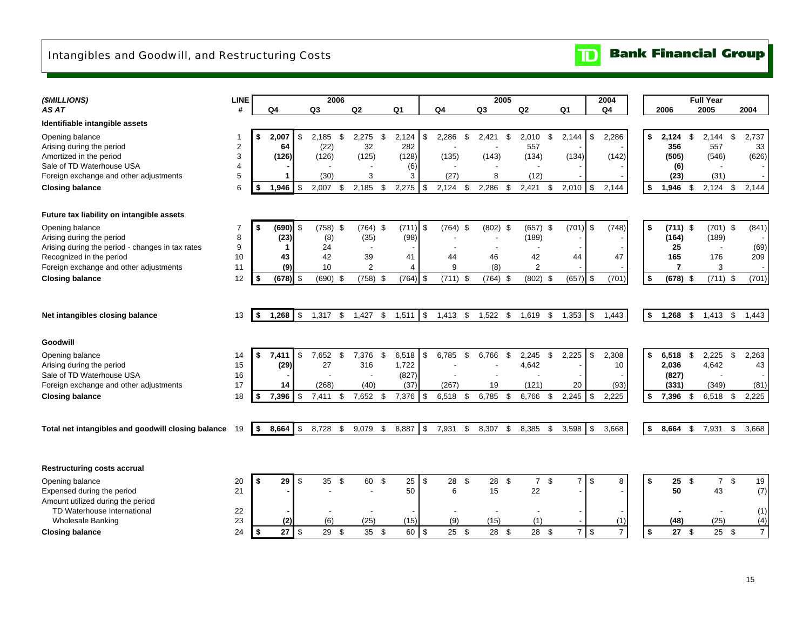## Intangibles and Goodwill, and Restructuring Costs

**Bank Financial Group**  $\mathbf{D}$ 

| (\$MILLIONS)                                       | <b>LINE</b>             |      |            |     | 2006           |      |                          |      |                |            |                |      | 2005           |     |                |       |                      | 2004           |                |            | <b>Full Year</b>         |                 |                |
|----------------------------------------------------|-------------------------|------|------------|-----|----------------|------|--------------------------|------|----------------|------------|----------------|------|----------------|-----|----------------|-------|----------------------|----------------|----------------|------------|--------------------------|-----------------|----------------|
| AS AT                                              | #                       |      | Q4         |     | Q <sub>3</sub> |      | Q2                       |      | Q <sub>1</sub> |            | Q <sub>4</sub> |      | Q <sub>3</sub> |     | Q <sub>2</sub> | Q1    |                      | Q <sub>4</sub> | 2006           |            | 2005                     |                 | 2004           |
| Identifiable intangible assets                     |                         |      |            |     |                |      |                          |      |                |            |                |      |                |     |                |       |                      |                |                |            |                          |                 |                |
| Opening balance                                    | -1                      |      | 2,007      | \$  | 2.185          | \$   | 2,275                    | \$   | 2,124          | \$         | 2,286          | -\$  | 2,421          | \$  | 2,010<br>\$    | 2,144 | \$                   | 2,286          | \$<br>2,124    | \$         | 2,144                    | \$              | 2,737          |
| Arising during the period                          | $\overline{\mathbf{c}}$ |      | 64         |     | (22)           |      | 32                       |      | 282            |            |                |      |                |     | 557            |       |                      |                | 356            |            | 557                      |                 | 33             |
| Amortized in the period                            | 3                       |      | (126)      |     | (126)          |      | (125)                    |      | (128)          |            | (135)          |      | (143)          |     | (134)          | (134) |                      | (142)          | (505)          |            | (546)                    |                 | (626)          |
| Sale of TD Waterhouse USA                          | $\overline{4}$          |      |            |     |                |      | 3                        |      | (6)            |            |                |      | 8              |     |                |       |                      |                | (6)            |            |                          |                 |                |
| Foreign exchange and other adjustments             | 5                       |      |            |     | (30)           |      |                          |      | 3              |            | (27)           |      |                |     | (12)           |       |                      |                | (23)           |            | (31)                     |                 |                |
| <b>Closing balance</b>                             | 6                       | £.   | 1,946      | \$  | 2,007          | £.   | 2,185                    | \$   | 2,275          | \$         | 2,124          | -\$  | 2,286          | £.  | 2,421<br>\$    | 2,010 | - \$                 | 2,144          | \$<br>1,946    | - \$       | 2,124                    | \$              | 2,144          |
| Future tax liability on intangible assets          |                         |      |            |     |                |      |                          |      |                |            |                |      |                |     |                |       |                      |                |                |            |                          |                 |                |
| Opening balance                                    | $\overline{7}$          |      | (690)      | \$  | $(758)$ \$     |      | $(764)$ \$               |      | $(711)$ \$     |            | $(764)$ \$     |      | $(802)$ \$     |     | $(657)$ \$     |       | $(701)$ \$           | (748)          | \$             | $(711)$ \$ | $(701)$ \$               |                 | (841)          |
| Arising during the period                          | 8                       |      | (23)       |     | (8)            |      | (35)                     |      | (98)           |            |                |      |                |     | (189)          |       |                      |                | (164)          |            | (189)                    |                 |                |
| Arising during the period - changes in tax rates   | 9                       |      |            |     | 24             |      | $\overline{\phantom{a}}$ |      |                |            |                |      |                |     |                |       |                      |                | 25             |            |                          |                 | (69)           |
| Recognized in the period                           | 10                      |      | 43         |     | 42             |      | 39                       |      | 41             |            | 44             |      | 46             |     | 42             | 44    |                      | 47             | 165            |            | 176                      |                 | 209            |
| Foreign exchange and other adjustments             | 11                      |      | (9)        |     | 10             |      | $\overline{2}$           |      | 4              |            | 9              |      | (8)            |     | $\overline{2}$ |       |                      |                | $\overline{7}$ |            | 3                        |                 |                |
| <b>Closing balance</b>                             | 12                      |      | $(678)$ \$ |     | (690)          | - \$ | (758)                    | \$   | $(764)$ \$     |            | $(711)$ \$     |      | $(764)$ \$     |     | $(802)$ \$     |       | $(657)$ \$           | (701)          | \$             | $(678)$ \$ | $(711)$ \$               |                 | (701)          |
| Net intangibles closing balance                    | 13                      | - \$ | 1,268      | \$  | 1,317          | \$   | 1,427                    | \$   | 1,511          | \$         | 1,413          | \$   | 1,522          | \$  | 1,619<br>\$    | 1,353 | \$                   | 1,443          | \$<br>1,268    | \$         | $1,413$ \$               |                 | 1,443          |
| Goodwill                                           |                         |      |            |     |                |      |                          |      |                |            |                |      |                |     |                |       |                      |                |                |            |                          |                 |                |
| Opening balance                                    | 14                      | \$   | 7,411      | \$  | 7,652          | \$.  | 7,376                    | \$   | 6,518          | \$         | 6,785          | \$   | 6,766          | \$  | 2,245<br>\$    | 2,225 | \$                   | 2,308          | \$<br>6,518    | \$.        | 2,225                    | \$              | 2,263          |
| Arising during the period                          | 15                      |      | (29)       |     | 27             |      | 316                      |      | 1,722          |            |                |      |                |     | 4,642          |       |                      | 10             | 2,036          |            | 4,642                    |                 | 43             |
| Sale of TD Waterhouse USA                          | 16                      |      |            |     |                |      |                          |      | (827)          |            |                |      |                |     |                |       |                      |                | (827)          |            |                          |                 |                |
| Foreign exchange and other adjustments             | 17                      |      | 14         |     | (268)          |      | (40)                     |      | (37)           |            | (267)          |      | 19             |     | (121)          | 20    |                      | (93)           | (331)          |            | (349)                    |                 | (81)           |
| <b>Closing balance</b>                             | 18                      |      | 7,396      | \$  | 7,411          | -\$  | 7,652                    | - \$ | 7,376          | $\sqrt{3}$ | $6,518$ \$     |      | 6,785          | -\$ | 6,766<br>- \$  | 2,245 | \$                   | 2,225          | \$<br>7,396    | \$         | 6,518                    | \$              | 2,225          |
|                                                    |                         |      |            |     |                |      |                          |      |                |            |                |      |                |     |                |       |                      |                |                |            |                          |                 |                |
| Total net intangibles and goodwill closing balance | -19                     | - \$ | 8,664      | -\$ | 8,728          | \$.  | 9,079                    | \$   | 8,887          | \$         | 7,931          | -\$  | 8,307          | \$  | 8,385<br>\$    | 3,598 | -\$                  | 3,668          | \$<br>8,664    | -\$        | 7,931                    | \$              | 3,668          |
|                                                    |                         |      |            |     |                |      |                          |      |                |            |                |      |                |     |                |       |                      |                |                |            |                          |                 |                |
| <b>Restructuring costs accrual</b>                 |                         |      |            |     |                |      |                          |      |                |            |                |      |                |     |                |       |                      |                |                |            |                          |                 |                |
| Opening balance                                    | 20                      |      | 29         | \$  | 35 $$$         |      | 60 \$                    |      | 25             | -\$        | 28             | \$   | 28 \$          |     | 7 <sup>°</sup> |       | $\overline{7}$<br>\$ | 8              | \$             | $25$ \$    |                          | $7 \text{ }$ \$ | 19             |
| Expensed during the period                         | 21                      |      |            |     |                |      |                          |      | 50             |            | 6              |      | 15             |     | 22             |       |                      |                | 50             |            | 43                       |                 | (7)            |
| Amount utilized during the period                  |                         |      |            |     |                |      |                          |      |                |            |                |      |                |     |                |       |                      |                |                |            |                          |                 |                |
| TD Waterhouse International                        | 22                      |      |            |     |                |      |                          |      |                |            |                |      |                |     |                |       |                      |                |                |            | $\overline{\phantom{a}}$ |                 | (1)            |
| <b>Wholesale Banking</b>                           | 23                      |      | (2)        |     | (6)            |      | (25)                     |      | (15)           |            | (9)            |      | (15)           |     | (1)            |       |                      | (1)            | (48)           |            | (25)                     |                 | (4)            |
| <b>Closing balance</b>                             | 24                      | -\$  |            |     | 29             | - \$ | 35                       | \$   | 60             | l \$       | 25             | - \$ | 28 \$          |     | $28 \quad $$   |       | $7$ \ \$             | $\overline{7}$ | \$             | 27S        | 25                       | \$              | $\overline{7}$ |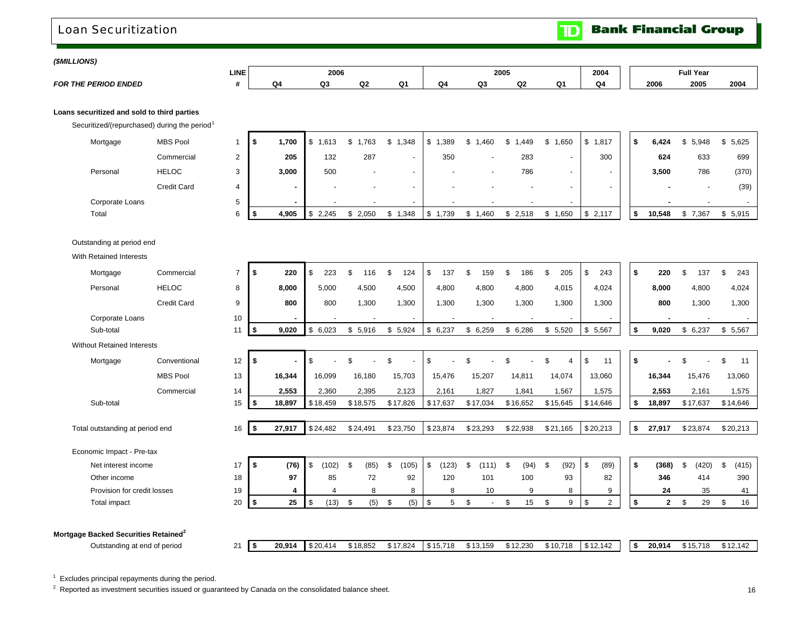## Loan Securitization

**Bank Financial Group**  $\mathbf{D}$ 

#### *(\$MILLIONS)*

|                             | LINE |    | 2006    |            |        |    | 2005 |         |               | 2004 |      | <b>Full Year</b> |      |
|-----------------------------|------|----|---------|------------|--------|----|------|---------|---------------|------|------|------------------|------|
| <b>FOR THE PERIOD ENDED</b> |      | Q4 | ົ<br>wo | $\sim$<br> | ົ<br>. | Q۰ | ົດຈ  | ົ<br>чa | <b>C</b><br>u | Q4   | 2006 | 2005             | 2004 |

**Loans securitized and sold to third parties**

Securitized/(repurchased) during the period<sup>1</sup>

| Mortgage        | <b>MBS Pool</b>    |             | 700،  | 1.613<br>. SS | 1,763 | 1,348<br>-JD.            | ,389<br>- \$             | .460<br>S. | ,449                     | 1,650  | .817<br>S.               | 6,424  | \$5,948 | \$5,625 |
|-----------------|--------------------|-------------|-------|---------------|-------|--------------------------|--------------------------|------------|--------------------------|--------|--------------------------|--------|---------|---------|
|                 | Commercial         | $\sim$      | 205   | 132           | 287   | $\overline{\phantom{a}}$ | 350                      |            | 283                      |        | 300                      | 624    | 633     | 699     |
| Personal        | <b>HELOC</b>       | $\sim$<br>ື | 3,000 | 500           |       | $\sim$                   |                          |            | 786                      | $\sim$ | -                        | 3,500  | 786     | (370)   |
|                 | <b>Credit Card</b> |             | -     |               |       | $\sim$                   | $\overline{\phantom{0}}$ |            | $\overline{\phantom{a}}$ |        | $\overline{\phantom{a}}$ | -      |         | (39)    |
| Corporate Loans |                    |             |       |               |       | $\sim$                   |                          |            | $\overline{\phantom{0}}$ |        |                          |        |         |         |
| Total           |                    |             | 4,905 | 2,245<br>l SS | 2,050 | 1,348                    | 1,739<br>D               | ,460       | 2,518                    | .650   | \$2,117                  | 10,548 | \$7,367 | \$5,915 |

Outstanding at period end

With Retained Interests

| Mortgage                                         | Commercial         | $\overline{7}$ | \$         | 220    | \$<br>223    | \$<br>116   | 124<br>\$                | 137<br>\$    | \$<br>159    | 186<br>- \$ | 205<br>\$   | \$<br>243            | \$<br>220          | 137<br>\$.  | \$<br>243   |
|--------------------------------------------------|--------------------|----------------|------------|--------|--------------|-------------|--------------------------|--------------|--------------|-------------|-------------|----------------------|--------------------|-------------|-------------|
| Personal                                         | <b>HELOC</b>       | 8              |            | 8,000  | 5,000        | 4,500       | 4,500                    | 4,800        | 4,800        | 4,800       | 4,015       | 4,024                | 8,000              | 4,800       | 4,024       |
|                                                  | <b>Credit Card</b> | 9              |            | 800    | 800          | 1,300       | 1.300                    | 1,300        | 1,300        | 1,300       | 1,300       | 1,300                | 800                | 1,300       | 1,300       |
| Corporate Loans                                  |                    | 10             |            |        |              |             | $\overline{\phantom{a}}$ |              |              |             |             |                      |                    |             |             |
| Sub-total                                        |                    | 11             | 5          | 9,020  | 6,023<br>\$  | \$<br>5,916 | \$<br>5,924              | \$6,237      | \$6,259      | 6,286<br>\$ | \$5,520     | \$5,567              | \$<br>9,020        | \$6,237     | \$5,567     |
| <b>Without Retained Interests</b>                |                    |                |            |        |              |             |                          |              |              |             |             |                      |                    |             |             |
| Mortgage                                         | Conventional       | 12             | \$         |        |              | ፍ           | £.                       | \$           | \$           | \$          | \$.         | \$<br>11             | \$                 | ደ           | \$<br>11    |
|                                                  | <b>MBS Pool</b>    | 13             |            | 16,344 | 16,099       | 16,180      | 15,703                   | 15,476       | 15,207       | 14,811      | 14,074      | 13,060               | 16,344             | 15,476      | 13,060      |
|                                                  | Commercial         | 14             |            | 2,553  | 2,360        | 2,395       | 2,123                    | 2,161        | 1,827        | 1,841       | 1,567       | 1,575                | 2,553              | 2,161       | 1,575       |
| Sub-total                                        |                    | 15             | \$         | 18,897 | \$18,459     | \$18,575    | \$17,826                 | \$17,637     | \$17,034     | \$16,652    | \$15,645    | \$14,646             | \$<br>18,897       | \$17,637    | \$14,646    |
|                                                  |                    |                |            |        |              |             |                          |              |              |             |             |                      |                    |             |             |
| Total outstanding at period end                  |                    | 16             | $\sqrt{2}$ | 27,917 | \$24,482     | \$24,491    | \$23,750                 | \$23,874     | \$23,293     | \$22,938    | \$21,165    | \$20,213             | \$<br>27,917       | \$23,874    | \$20,213    |
| Economic Impact - Pre-tax                        |                    |                |            |        |              |             |                          |              |              |             |             |                      |                    |             |             |
| Net interest income                              |                    | 17             | \$         | (76)   | (102)<br>\$. | (85)<br>\$  | \$<br>(105)              | (123)<br>\$. | \$.<br>(111) | (94)<br>. ጽ | (92)<br>\$. | \$<br>(89)           | \$<br>(368)        | (420)<br>£. | \$<br>(415) |
| Other income                                     |                    | 18             |            | 97     | 85           | 72          | 92                       | 120          | 101          | 100         | 93          | 82                   | 346                | 414         | 390         |
| Provision for credit losses                      |                    | 19             |            | 4      | 4            | 8           | 8                        | 8            | 10           | 9           | 8           | 9                    | 24                 | 35          | 41          |
| Total impact                                     |                    | 20             | -\$        | 25     | (13)<br>l \$ | (5)<br>\$   | (5)<br>\$                | 5<br>\$      | \$           | 15<br>\$    | \$<br>9     | $\overline{2}$<br>\$ | \$<br>$\mathbf{2}$ | 29<br>\$    | 16<br>\$    |
|                                                  |                    |                |            |        |              |             |                          |              |              |             |             |                      |                    |             |             |
| Mortgage Backed Securities Retained <sup>2</sup> |                    |                |            |        |              |             |                          |              |              |             |             |                      |                    |             |             |
| Outstanding at end of period                     |                    | 21             | \$         | 20,914 | \$20,414     | \$18,852    | \$17,824                 | \$15,718     | \$13,159     | \$12,230    | \$10,718    | \$12,142             | \$<br>20,914       | \$15,718    | \$12,142    |

 $1$  Excludes principal repayments during the period.

 $2^2$  Reported as investment securities issued or guaranteed by Canada on the consolidated balance sheet.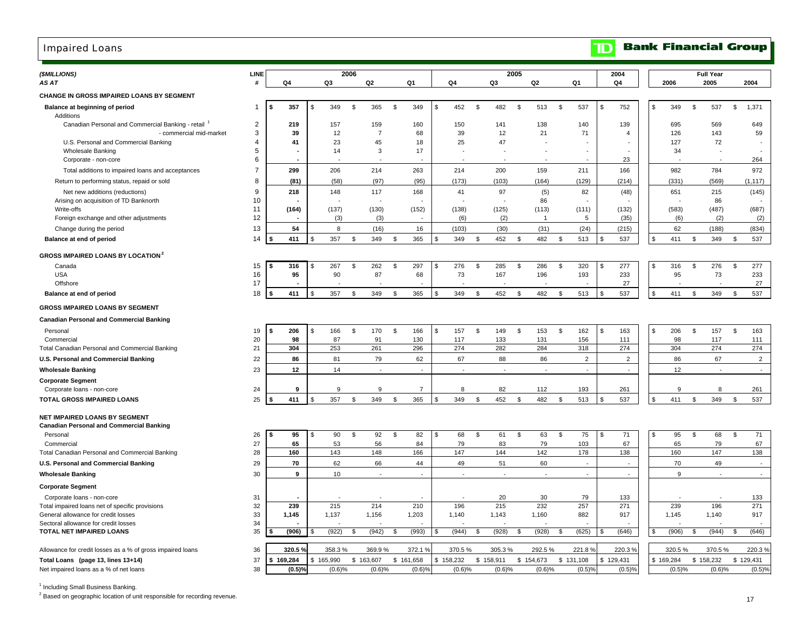## Impaired Loans

| (\$MILLIONS)                                                             | LINE                |                          |    |           | 2006           |                |                       |                |           |                |                          | 2005           |              |                |                          |                | 2004                           |             |                | <b>Full Year</b>               |                |                          |
|--------------------------------------------------------------------------|---------------------|--------------------------|----|-----------|----------------|----------------|-----------------------|----------------|-----------|----------------|--------------------------|----------------|--------------|----------------|--------------------------|----------------|--------------------------------|-------------|----------------|--------------------------------|----------------|--------------------------|
| AS AT                                                                    | #                   | Q4                       |    | Q3        |                | Q <sub>2</sub> | Q1                    |                | Q4        |                | Q3                       |                | Q2           |                | Q1                       |                | Q4                             | 2006        |                | 2005                           |                | 2004                     |
| CHANGE IN GROSS IMPAIRED LOANS BY SEGMENT                                |                     |                          |    |           |                |                |                       |                |           |                |                          |                |              |                |                          |                |                                |             |                |                                |                |                          |
| Balance at beginning of period                                           | 1                   | 357<br>\$                | \$ | 349       | \$             | 365            | \$<br>349             | $\mathfrak{S}$ | 452       | \$             | 482                      | $\mathfrak{L}$ | 513          | \$             | 537                      | $\mathfrak{L}$ | 752                            | \$<br>349   | $\mathfrak{L}$ | 537                            | \$             | 1,371                    |
| Additions                                                                |                     |                          |    |           |                |                |                       |                |           |                |                          |                |              |                |                          |                |                                |             |                |                                |                |                          |
| Canadian Personal and Commercial Banking - retail                        | $\overline{2}$      | 219                      |    | 157       |                | 159            | 160                   |                | 150       |                | 141                      |                | 138          |                | 140                      |                | 139                            | 695         |                | 569                            |                | 649                      |
| - commercial mid-market                                                  | 3                   | 39                       |    | 12        |                | $\overline{7}$ | 68                    |                | 39        |                | 12                       |                | 21           |                | 71                       |                | $\overline{4}$                 | 126         |                | 143                            |                | 59                       |
| U.S. Personal and Commercial Banking                                     | $\overline{4}$<br>5 | 41                       |    | 23        |                | 45             | 18                    |                | 25        |                | 47                       |                |              |                |                          |                |                                | 127         |                | 72                             |                |                          |
| <b>Wholesale Banking</b><br>Corporate - non-core                         | 6                   |                          |    | 14        |                | 3              | 17                    |                |           |                | $\overline{\phantom{a}}$ |                |              |                |                          |                | $\overline{\phantom{a}}$<br>23 | 34          |                | $\overline{\phantom{a}}$       |                | 264                      |
| Total additions to impaired loans and acceptances                        | $\overline{7}$      | 299                      |    | 206       |                | 214            | 263                   |                | 214       |                | 200                      |                | 159          |                | 211                      |                | 166                            | 982         |                | 784                            |                | 972                      |
|                                                                          | 8                   | (81)                     |    | (58)      |                | (97)           | (95)                  |                | (173)     |                | (103)                    |                | (164)        |                | (129)                    |                | (214)                          | (331)       |                | (569)                          |                | (1, 117)                 |
| Return to performing status, repaid or sold                              | 9                   |                          |    |           |                | 117            |                       |                | 41        |                | 97                       |                |              |                |                          |                |                                | 651         |                | 215                            |                |                          |
| Net new additions (reductions)<br>Arising on acquisition of TD Banknorth | 10                  | 218                      |    | 148       |                |                | 168                   |                |           |                |                          |                | (5)<br>86    |                | 82                       |                | (48)                           |             |                | 86                             |                | (145)                    |
| Write-offs                                                               | 11                  | (164)                    |    | (137)     |                | (130)          | (152)                 |                | (138)     |                | (125)                    |                | (113)        |                | (111)                    |                | (132)                          | (583)       |                | (487)                          |                | (687)                    |
| Foreign exchange and other adjustments                                   | 12                  | $\overline{\phantom{a}}$ |    | (3)       |                | (3)            |                       |                | (6)       |                | (2)                      |                | -1           |                | 5                        |                | (35)                           | (6)         |                | (2)                            |                | (2)                      |
| Change during the period                                                 | 13                  | 54                       |    | 8         |                | (16)           | 16                    |                | (103)     |                | (30)                     |                | (31)         |                | (24)                     |                | (215)                          | 62          |                | (188)                          |                | (834)                    |
| Balance at end of period                                                 | 14                  | 411<br>Ŝ.                |    | 357       | \$             | 349            | \$<br>365             | \$             | 349       | \$             | 452                      | \$             | 482          | \$             | 513                      | \$             | 537                            | \$<br>411   | \$             | 349                            | \$             | 537                      |
|                                                                          |                     |                          |    |           |                |                |                       |                |           |                |                          |                |              |                |                          |                |                                |             |                |                                |                |                          |
| <b>GROSS IMPAIRED LOANS BY LOCATION</b> <sup>2</sup>                     |                     |                          |    |           |                |                |                       |                |           |                |                          |                |              |                |                          |                |                                |             |                |                                |                |                          |
| Canada                                                                   | 15                  | 316<br>£.                | \$ | 267       | \$             | 262            | \$<br>297             | \$             | 276       | \$             | 285                      | \$             | 286          | \$             | 320                      | \$             | 277                            | \$<br>316   | \$             | 276                            | \$             | 277                      |
| <b>USA</b><br>Offshore                                                   | 16<br>17            | 95                       |    | 90        |                | 87             | 68                    |                | 73        |                | 167                      |                | 196          |                | 193                      |                | 233<br>27                      | 95          |                | 73<br>$\overline{\phantom{a}}$ |                | 233<br>27                |
| Balance at end of period                                                 | 18                  | 411                      |    | 357       | \$             | 349            | 365<br>\$             | - \$           | 349       | - \$           | 452                      | \$             | 482          | \$             | 513                      | \$             | 537                            | \$<br>411   | \$             | 349                            | \$             | 537                      |
|                                                                          |                     |                          |    |           |                |                |                       |                |           |                |                          |                |              |                |                          |                |                                |             |                |                                |                |                          |
| <b>GROSS IMPAIRED LOANS BY SEGMENT</b>                                   |                     |                          |    |           |                |                |                       |                |           |                |                          |                |              |                |                          |                |                                |             |                |                                |                |                          |
| <b>Canadian Personal and Commercial Banking</b>                          |                     |                          |    |           |                |                |                       |                |           |                |                          |                |              |                |                          |                |                                |             |                |                                |                |                          |
| Personal                                                                 | 19                  | 206<br>\$                | \$ | 166       | \$             | 170            | 166<br>\$             | \$             | 157       | \$             | 149                      | \$             | 153          | \$             | 162                      | \$             | 163                            | \$<br>206   | \$             | 157                            | \$             | 163                      |
| Commercial                                                               | 20                  | 98                       |    | 87        |                | 91             | 130                   |                | 117       |                | 133                      |                | 131          |                | 156                      |                | 111                            | 98          |                | 117                            |                | 111                      |
| Total Canadian Personal and Commercial Banking                           | 21                  | 304                      |    | 253       |                | 261            | 296                   |                | 274       |                | 282                      |                | 284          |                | 318                      |                | 274                            | 304         |                | 274                            |                | 274                      |
| U.S. Personal and Commercial Banking                                     | 22                  | 86                       |    | 81        |                | 79             | 62                    |                | 67        |                | 88                       |                | 86           |                | 2                        |                | $\overline{2}$                 | 86          |                | 67                             |                | $\overline{2}$           |
| <b>Wholesale Banking</b>                                                 | 23                  | 12                       |    | 14        |                | $\blacksquare$ | $\blacksquare$        |                | $\sim$    |                | $\sim$                   |                |              |                | $\overline{\phantom{a}}$ |                | $\overline{\phantom{a}}$       | 12          |                | $\sim$                         |                | $\overline{\phantom{a}}$ |
| <b>Corporate Segment</b>                                                 |                     |                          |    |           |                |                |                       |                |           |                |                          |                |              |                |                          |                |                                |             |                |                                |                |                          |
| Corporate loans - non-core                                               | 24                  | 9                        |    | 9         |                | 9              | $\overline{7}$        |                | 8         |                | 82                       |                | 112          |                | 193                      |                | 261                            | 9           |                | 8                              |                | 261                      |
| <b>TOTAL GROSS IMPAIRED LOANS</b>                                        | 25                  | 411                      |    | 357       | $\mathfrak{L}$ | 349            | 365<br>$\mathfrak{S}$ | \$.            | 349       | \$             | 452                      | $\mathfrak{L}$ | 482          | $\mathfrak{L}$ | 513                      |                | 537                            | \$<br>411   | $\mathfrak{L}$ | 349                            | $\mathfrak{s}$ | 537                      |
| <b>NET IMPAIRED LOANS BY SEGMENT</b>                                     |                     |                          |    |           |                |                |                       |                |           |                |                          |                |              |                |                          |                |                                |             |                |                                |                |                          |
| Canadian Personal and Commercial Banking                                 |                     |                          |    |           |                |                |                       |                |           |                |                          |                |              |                |                          |                |                                |             |                |                                |                |                          |
| Personal                                                                 | 26                  | 95<br>\$                 | S  | 90        | \$             | 92             | 82<br>\$              | \$             | 68        | \$             | 61                       | \$             | 63           | \$             | 75                       | \$             | 71                             | \$<br>95    | \$             | 68                             | \$             | 71                       |
| Commercial                                                               | 27                  | 65                       |    | 53        |                | 56             | 84                    |                | 79        |                | 83                       |                | 79           |                | 103                      |                | 67                             | 65          |                | 79                             |                | 67                       |
| Total Canadian Personal and Commercial Banking                           | 28                  | 160                      |    | 143       |                | 148            | 166                   |                | 147       |                | 144                      |                | 142          |                | 178                      |                | 138                            | 160         |                | 147                            |                | 138                      |
| U.S. Personal and Commercial Banking                                     | 29                  | 70                       |    | 62        |                | 66             | 44                    |                | 49        |                | 51                       |                | 60           |                | $\sim$                   |                | $\sim$                         | 70          |                | 49                             |                | $\overline{a}$           |
| <b>Wholesale Banking</b>                                                 | 30                  | 9                        |    | 10        |                | $\blacksquare$ | $\sim$                |                | $\sim$    |                | $\sim$                   |                | $\mathbf{r}$ |                | $\overline{\phantom{a}}$ |                | $\sim$                         | 9           |                | $\sim$                         |                | $\sim$                   |
| <b>Corporate Segment</b>                                                 |                     |                          |    |           |                |                |                       |                |           |                |                          |                |              |                |                          |                |                                |             |                |                                |                |                          |
| Corporate loans - non-core                                               | 31                  |                          |    |           |                |                |                       |                |           |                | 20                       |                | 30           |                | 79                       |                | 133                            |             |                |                                |                | 133                      |
| Total impaired loans net of specific provisions                          | 32                  | 239                      |    | 215       |                | 214            | 210                   |                | 196       |                | 215                      |                | 232          |                | 257                      |                | 271                            | 239         |                | 196                            |                | 271                      |
| General allowance for credit losses                                      | 33                  | 1,145                    |    | 1,137     |                | 1,156          | 1,203                 |                | 1,140     |                | 1,143                    |                | 1,160        |                | 882                      |                | 917                            | 1,145       |                | 1,140                          |                | 917                      |
| Sectoral allowance for credit losses                                     | 34                  |                          |    |           |                |                |                       |                |           |                |                          |                |              |                |                          |                |                                |             |                |                                |                |                          |
| TOTAL NET IMPAIRED LOANS                                                 | 35                  | (906)                    |    | (922)     | \$             | (942)          | (993)<br>\$           | \$.            | (944)     | $\mathfrak{L}$ | (928)                    | \$             | (928)        | \$             | (625)                    | \$             | (646)                          | \$<br>(906) | \$             | (944)                          | \$             | (646)                    |
| Allowance for credit losses as a % of gross impaired loans               | 36                  | 320.5                    |    | 358.3%    |                | 369.9%         | 372.1 %               |                | 370.5%    |                | 305.3%                   |                | 292.5%       |                | 221.8%                   |                | 220.3%                         | 320.5%      |                | 370.5%                         |                | 220.3%                   |
| Total Loans (page 13, lines 13+14)                                       | 37                  | \$169,284                |    | \$165,990 | \$163,607      |                | \$161,658             |                | \$158,232 |                | \$158,911                |                | \$154,673    |                | \$131,108                |                | \$129,431                      | \$169,284   |                | \$158,232                      | \$129,431      |                          |
| Net impaired loans as a % of net loans                                   | 38                  | $(0.5)$ <sup>9</sup>     |    | (0.6)%    |                | (0.6)%         | (0.6)%                |                | (0.6)%    |                | (0.6)%                   |                | (0.6)%       |                | (0.5)%                   |                | (0.5)%                         | (0.5)%      |                | (0.6)%                         |                | (0.5)%                   |
|                                                                          |                     |                          |    |           |                |                |                       |                |           |                |                          |                |              |                |                          |                |                                |             |                |                                |                |                          |

<sup>1</sup> Including Small Business Banking.

<sup>2</sup> Based on geographic location of unit responsible for recording revenue.

#### **Bank Financial Group**  $\mathbf{D}$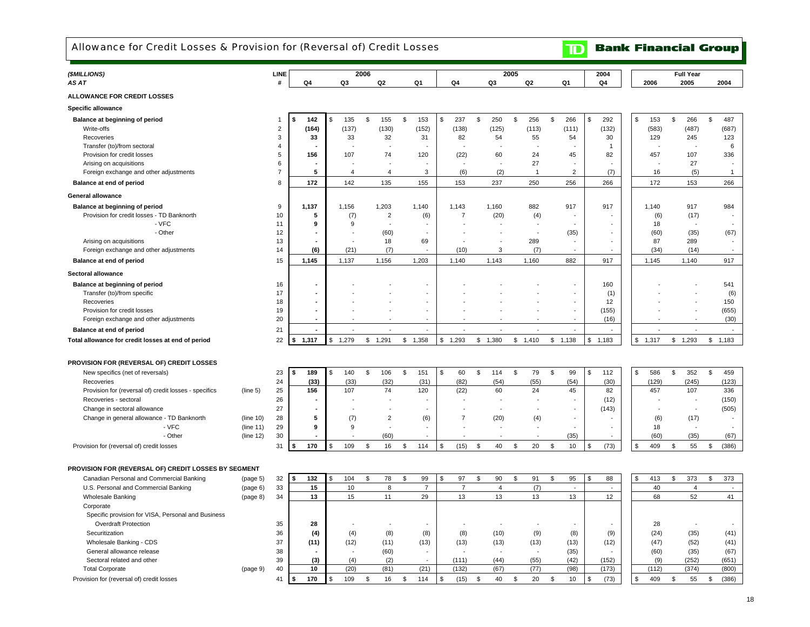Allowance for Credit Losses & Provision for (Reversal of) Credit Losses

**TD** Bank Financial Group

 $\blacksquare$ 

| (\$MILLIONS)                                                      |                        | LINE           |                          |                          | 2006    |                |                |                          |                |                          | 2005          |            |                |                                | 2004           |             | <b>Full Year</b>         |                          |  |
|-------------------------------------------------------------------|------------------------|----------------|--------------------------|--------------------------|---------|----------------|----------------|--------------------------|----------------|--------------------------|---------------|------------|----------------|--------------------------------|----------------|-------------|--------------------------|--------------------------|--|
| AS AT                                                             |                        | #              | Q4                       | Q3                       |         | Q2             | Q <sub>1</sub> |                          | Q4             | Q3                       |               | Q2         |                | Q1                             | Q <sub>4</sub> | 2006        | 2005                     | 2004                     |  |
| <b>ALLOWANCE FOR CREDIT LOSSES</b>                                |                        |                |                          |                          |         |                |                |                          |                |                          |               |            |                |                                |                |             |                          |                          |  |
| Specific allowance                                                |                        |                |                          |                          |         |                |                |                          |                |                          |               |            |                |                                |                |             |                          |                          |  |
| Balance at beginning of period                                    |                        | 1              | 142                      | \$<br>135                | \$      | 155            | ${\mathbb S}$  | 153                      | \$<br>237      | \$<br>250                | $\mathfrak s$ | 256        | $\mathfrak{s}$ | 266                            | \$<br>292      | \$<br>153   | \$<br>266                | $\mathfrak s$<br>487     |  |
| Write-offs                                                        |                        | $\overline{2}$ | (164)                    | (137)                    |         | (130)          |                | (152)                    | (138)          | (125)                    |               | (113)      |                | (111)                          | (132)          | (583)       | (487)                    | (687)                    |  |
| Recoveries                                                        |                        | 3              | 33                       | 33                       |         | 32             |                | 31                       | 82             | 54                       |               | 55         |                | 54                             | 30             | 129         | 245                      | 123                      |  |
| Transfer (to)/from sectoral                                       |                        | 4              |                          |                          |         |                |                |                          |                |                          |               |            |                |                                | $\overline{1}$ |             |                          | 6                        |  |
| Provision for credit losses                                       |                        | 5              | 156                      | 107                      |         | 74             |                | 120                      | (22)           | 60                       |               | 24         |                | 45                             | 82             | 457         | 107                      | 336                      |  |
| Arising on acquisitions                                           |                        | 6              |                          |                          |         |                |                |                          |                |                          |               | 27         |                | ÷                              |                |             | 27                       |                          |  |
| Foreign exchange and other adjustments                            |                        | $\overline{7}$ | 5                        | $\overline{4}$           |         | $\overline{4}$ |                | 3                        | (6)            | (2)                      |               | -1         |                | $\overline{2}$                 | (7)            | 16          | (5)                      | $\mathbf{1}$             |  |
| Balance at end of period                                          |                        | 8              | 172                      | 142                      |         | 135            |                | 155                      | 153            | 237                      |               | 250        |                | 256                            | 266            | 172         | 153                      | 266                      |  |
| General allowance                                                 |                        |                |                          |                          |         |                |                |                          |                |                          |               |            |                |                                |                |             |                          |                          |  |
| Balance at beginning of period                                    |                        | 9              | 1,137                    | 1,156                    |         | 1,203          |                | 1,140                    | 1,143          | 1,160                    |               | 882        |                | 917                            | 917            | 1,140       | 917                      | 984                      |  |
| Provision for credit losses - TD Banknorth                        |                        | 10             | 5                        | (7)                      |         | 2              |                | (6)                      | $\overline{7}$ | (20)                     |               | (4)        |                |                                |                | (6)         | (17)                     |                          |  |
| - VFC                                                             |                        | 11             | 9                        | 9                        |         |                |                |                          |                |                          |               |            |                |                                |                | 18          |                          |                          |  |
| - Other                                                           |                        | 12             |                          |                          |         | (60)           |                |                          |                |                          |               |            |                | (35)                           |                | (60)        | (35)                     | (67)                     |  |
| Arising on acquisitions<br>Foreign exchange and other adjustments |                        | 13<br>14       | (6)                      | (21)                     |         | 18<br>(7)      |                | 69                       | (10)           | ÷<br>3                   |               | 289<br>(7) |                |                                |                | 87<br>(34)  | 289<br>(14)              |                          |  |
| Balance at end of period                                          |                        | 15             | 1,145                    | 1,137                    |         | 1,156          |                | 1,203                    | 1,140          | 1,143                    |               | 1,160      |                | 882                            | 917            | 1,145       | 1,140                    | 917                      |  |
|                                                                   |                        |                |                          |                          |         |                |                |                          |                |                          |               |            |                |                                |                |             |                          |                          |  |
| Sectoral allowance                                                |                        |                |                          |                          |         |                |                |                          |                |                          |               |            |                |                                |                |             |                          |                          |  |
| Balance at beginning of period                                    |                        | 16             |                          |                          |         |                |                |                          |                |                          |               |            |                | $\overline{\phantom{m}}$<br>÷. | 160            |             |                          | 541                      |  |
| Transfer (to)/from specific<br>Recoveries                         |                        | 17             |                          |                          |         |                |                |                          |                |                          |               |            |                | ÷.                             | (1)            |             |                          | (6)                      |  |
| Provision for credit losses                                       |                        | 18<br>19       |                          |                          |         |                |                | $\sim$                   |                |                          |               |            |                | $\overline{a}$                 | 12<br>(155)    |             |                          | 150<br>(655)             |  |
| Foreign exchange and other adjustments                            |                        | 20             | $\overline{\phantom{a}}$ | ٠                        |         | $\overline{a}$ |                | $\overline{\phantom{a}}$ |                | $\overline{\phantom{a}}$ |               |            |                | $\sim$                         | (16)           |             |                          | (30)                     |  |
| Balance at end of period                                          |                        | 21             |                          |                          |         |                |                |                          |                |                          |               |            |                |                                |                |             |                          | $\sim$                   |  |
| Total allowance for credit losses at end of period                |                        | 22             | 1,317                    | \$<br>1,279              | \$1,291 |                | \$1,358        |                          | \$1,293        | \$1,380                  |               | \$1,410    |                | \$1,138                        | \$<br>1,183    | \$<br>1,317 | \$1,293                  | \$1,183                  |  |
|                                                                   |                        |                |                          |                          |         |                |                |                          |                |                          |               |            |                |                                |                |             |                          |                          |  |
| PROVISION FOR (REVERSAL OF) CREDIT LOSSES                         |                        |                |                          |                          |         |                |                |                          |                |                          |               |            |                |                                |                |             |                          |                          |  |
| New specifics (net of reversals)                                  |                        | 23             | 189<br>\$                | \$<br>140                | \$      | 106            | \$             | 151                      | \$<br>60       | \$<br>114                | \$            | 79         | \$             | 99                             | \$<br>112      | \$<br>586   | \$<br>352                | \$<br>459                |  |
| Recoveries                                                        |                        | 24             | (33)                     | (33)                     |         | (32)           |                | (31)                     | (82)           | (54)                     |               | (55)       |                | (54)                           | (30)           | (129)       | (245)                    | (123)                    |  |
| Provision for (reversal of) credit losses - specifics             | (line 5)               | 25             | 156                      | 107                      |         | 74             |                | 120                      | (22)           | 60                       |               | 24         |                | 45                             | 82             | 457         | 107                      | 336                      |  |
| Recoveries - sectoral                                             |                        | 26             |                          |                          |         |                |                |                          | $\overline{a}$ |                          |               |            |                |                                | (12)           |             |                          | (150)                    |  |
| Change in sectoral allowance                                      |                        | 27             |                          |                          |         |                |                |                          |                |                          |               |            |                |                                | (143)          |             | $\overline{\phantom{a}}$ | (505)                    |  |
| Change in general allowance - TD Banknorth                        | (line 10)              | 28             | 5                        | (7)                      |         | $\overline{2}$ |                | (6)                      | $\overline{7}$ | (20)                     |               | (4)        |                | ÷.                             |                | (6)         | (17)                     | $\sim$                   |  |
| - VFC                                                             |                        | 29             | 9                        | 9                        |         | $\overline{a}$ |                |                          |                | ÷                        |               |            |                | ٠                              |                | 18          |                          |                          |  |
| - Other                                                           | (line 11)<br>(line 12) | 30             |                          |                          |         | (60)           |                |                          |                |                          |               |            |                | (35)                           |                | (60)        | (35)                     | (67)                     |  |
| Provision for (reversal of) credit losses                         |                        | 31             | 170<br>\$                | \$<br>109                | \$      | 16             | \$             | 114                      | \$<br>(15)     | \$<br>40                 | \$            | 20         | \$             | 10                             | \$<br>(73)     | \$<br>409   | \$<br>55                 | (386)<br>\$              |  |
|                                                                   |                        |                |                          |                          |         |                |                |                          |                |                          |               |            |                |                                |                |             |                          |                          |  |
| PROVISION FOR (REVERSAL OF) CREDIT LOSSES BY SEGMENT              |                        |                |                          |                          |         |                |                |                          |                |                          |               |            |                |                                |                |             |                          |                          |  |
| Canadian Personal and Commercial Banking                          | (page <sub>5</sub> )   | 32             | 132<br>\$                | 104                      | \$      | 78             | $$\mathbb{S}$$ | 99                       | \$<br>97       | \$<br>90                 | \$            | 91         | $\mathfrak s$  | 95                             | 88             | 413         | \$<br>373                | $\mathsf{\$}$<br>373     |  |
| U.S. Personal and Commercial Banking                              | (page 6)               | 33             | 15                       | 10                       |         | 8              |                | $\overline{7}$           | $\overline{7}$ | $\overline{4}$           |               | (7)        |                | $\overline{\phantom{a}}$       | $\sim$         | 40          | $\overline{4}$           | $\overline{\phantom{a}}$ |  |
| <b>Wholesale Banking</b>                                          | (page 8)               | 34             | 13                       | 15                       |         | 11             |                | 29                       | 13             | 13                       |               | 13         |                | 13                             | 12             | 68          | 52                       | 41                       |  |
| Corporate                                                         |                        |                |                          |                          |         |                |                |                          |                |                          |               |            |                |                                |                |             |                          |                          |  |
| Specific provision for VISA, Personal and Business                |                        |                |                          |                          |         |                |                |                          |                |                          |               |            |                |                                |                |             |                          |                          |  |
| <b>Overdraft Protection</b>                                       |                        | 35             | 28                       |                          |         |                |                |                          |                |                          |               |            |                |                                |                | 28          |                          |                          |  |
| Securitization                                                    |                        | 36             | (4)                      | (4)                      |         | (8)            |                | (8)                      | (8)            | (10)                     |               | (9)        |                | (8)                            | (9)            | (24)        | (35)                     | (41)                     |  |
| Wholesale Banking - CDS                                           |                        | 37             | (11)                     | (12)                     |         | (11)           |                | (13)                     | (13)           | (13)                     |               | (13)       |                | (13)                           | (12)           | (47)        | (52)                     | (41)                     |  |
| General allowance release                                         |                        | 38             |                          | $\overline{\phantom{a}}$ |         | (60)           |                |                          |                |                          |               |            |                | (35)                           |                | (60)        | (35)                     | (67)                     |  |
| Sectoral related and other                                        |                        | 39             | (3)                      | (4)                      |         | (2)            |                |                          | (111)          | (44)                     |               | (55)       |                | (42)                           | (152)          | (9)         | (252)                    | (651)                    |  |
| <b>Total Corporate</b>                                            | (page 9)               | 40             | 10                       | (20)                     |         | (81)           |                | (21)                     | (132)          | (67)                     |               | (77)       |                | (98)                           | (173)          | (112)       | (374)                    | (800)                    |  |
| Provision for (reversal of) credit losses                         |                        | 41             | 170<br>\$                | \$<br>109                | \$      | 16             | \$             | 114                      | \$<br>(15)     | \$<br>40                 | \$            | 20         | \$             | 10                             | \$<br>(73)     | 409<br>\$   | \$<br>55                 | \$<br>(386)              |  |
|                                                                   |                        |                |                          |                          |         |                |                |                          |                |                          |               |            |                |                                |                |             |                          |                          |  |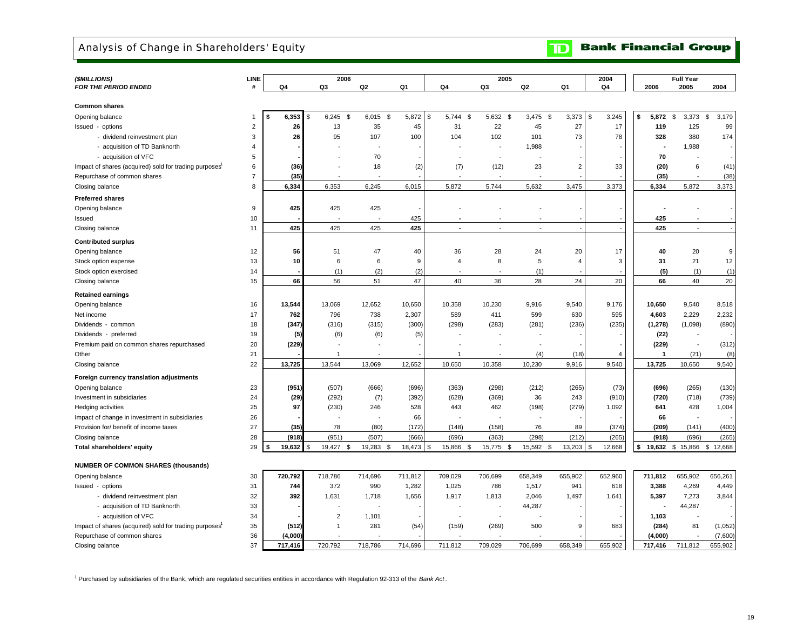## Analysis of Change in Shareholders' Equity

| <b>TD</b> Bank Financial Group |
|--------------------------------|
|--------------------------------|

| (\$MILLIONS)                                           | LINE                    |             | 2006             |                          |         |                | 2005                     |                          |                | 2004                |                 | <b>Full Year</b>  |             |
|--------------------------------------------------------|-------------------------|-------------|------------------|--------------------------|---------|----------------|--------------------------|--------------------------|----------------|---------------------|-----------------|-------------------|-------------|
| <b>FOR THE PERIOD ENDED</b>                            | #                       | Q4          | Q3               | Q <sub>2</sub>           | Q1      | Q4             | Q3                       | Q2                       | Q1             | Q4                  | 2006            | 2005              | 2004        |
|                                                        |                         |             |                  |                          |         |                |                          |                          |                |                     |                 |                   |             |
| <b>Common shares</b>                                   |                         |             |                  |                          |         |                |                          |                          |                |                     |                 |                   |             |
| Opening balance                                        | -1                      | 6,353<br>\$ | $6,245$ \$<br>\$ | $6,015$ \$               | 5,872   | \$<br>5,744 \$ | 5,632 \$                 | $3,475$ \$               | 3,373          | $\sqrt{3}$<br>3,245 | \$<br>5,872     | <b>S</b><br>3,373 | \$<br>3,179 |
| Issued - options                                       | $\overline{\mathbf{c}}$ | 26          | 13               | 35                       | 45      | 31             | 22                       | 45                       | 27             | 17                  | 119             | 125               | 99          |
| - dividend reinvestment plan                           | 3                       | 26          | 95               | 107                      | 100     | 104            | 102                      | 101                      | 73             | 78                  | 328             | 380               | 174         |
| - acquisition of TD Banknorth                          | 4                       |             |                  |                          |         |                | $\overline{\phantom{a}}$ | 1,988                    |                |                     |                 | 1,988             |             |
| - acquisition of VFC                                   | 5                       |             |                  | 70                       |         |                | $\overline{\phantom{a}}$ |                          |                |                     | 70              |                   |             |
| Impact of shares (acquired) sold for trading purposes  | 6                       | (36)        |                  | 18                       | (2)     | (7)            | (12)                     | 23                       | $\overline{2}$ | 33                  | (20)            | 6                 | (41)        |
| Repurchase of common shares                            | $\boldsymbol{7}$        | (35)        |                  |                          |         |                |                          |                          |                |                     | (35)            |                   | (38)        |
| Closing balance                                        | 8                       | 6,334       | 6,353            | 6,245                    | 6,015   | 5,872          | 5,744                    | 5,632                    | 3,475          | 3,373               | 6,334           | 5,872             | 3,373       |
|                                                        |                         |             |                  |                          |         |                |                          |                          |                |                     |                 |                   |             |
| <b>Preferred shares</b>                                | 9                       |             |                  |                          |         |                |                          |                          |                |                     |                 |                   |             |
| Opening balance                                        |                         | 425         | 425              | 425                      |         |                |                          |                          |                |                     |                 |                   |             |
| Issued                                                 | 10                      |             |                  |                          | 425     |                |                          |                          |                |                     | 425             |                   |             |
| Closing balance                                        | 11                      | 425         | 425              | 425                      | 425     |                |                          | $\overline{\phantom{a}}$ |                |                     | 425             | $\overline{a}$    |             |
| <b>Contributed surplus</b>                             |                         |             |                  |                          |         |                |                          |                          |                |                     |                 |                   |             |
| Opening balance                                        | 12                      | 56          | 51               | 47                       | 40      | 36             | 28                       | 24                       | 20             | 17                  | 40              | 20                | $\mathsf g$ |
| Stock option expense                                   | 13                      | 10          | 6                | 6                        | 9       | 4              | 8                        | 5                        | $\overline{4}$ | 3                   | 31              | 21                | 12          |
| Stock option exercised                                 | 14                      |             | (1)              | (2)                      | (2)     |                |                          | (1)                      |                |                     | (5)             | (1)               | (1)         |
| Closing balance                                        | 15                      | 66          | 56               | 51                       | 47      | 40             | 36                       | 28                       | 24             | 20                  | 66              | 40                | 20          |
| <b>Retained earnings</b>                               |                         |             |                  |                          |         |                |                          |                          |                |                     |                 |                   |             |
| Opening balance                                        | 16                      | 13,544      | 13,069           | 12,652                   | 10,650  | 10,358         | 10,230                   | 9,916                    | 9,540          | 9,176               | 10,650          | 9,540             | 8,518       |
| Net income                                             | 17                      | 762         | 796              | 738                      | 2,307   | 589            | 411                      | 599                      | 630            | 595                 | 4,603           | 2,229             | 2,232       |
| Dividends - common                                     | 18                      | (347)       | (316)            | (315)                    | (300)   | (298)          | (283)                    | (281)                    | (236)          | (235)               | (1, 278)        | (1,098)           | (890)       |
|                                                        |                         |             |                  |                          |         |                |                          |                          |                |                     |                 |                   |             |
| Dividends - preferred                                  | 19                      | (5)         | (6)              | (6)                      | (5)     |                |                          |                          |                |                     | (22)            |                   |             |
| Premium paid on common shares repurchased              | 20                      | (229)       |                  |                          |         |                |                          |                          |                |                     | (229)           |                   | (312)       |
| Other                                                  | 21                      |             |                  |                          |         | 1              |                          | (4)                      | (18)           | $\overline{4}$      | 1               | (21)              | (8)         |
| Closing balance                                        | 22                      | 13,725      | 13,544           | 13,069                   | 12,652  | 10,650         | 10,358                   | 10,230                   | 9,916          | 9,540               | 13,725          | 10,650            | 9,540       |
| Foreign currency translation adjustments               |                         |             |                  |                          |         |                |                          |                          |                |                     |                 |                   |             |
| Opening balance                                        | 23                      | (951)       | (507)            | (666)                    | (696)   | (363)          | (298)                    | (212)                    | (265)          | (73)                | (696)           | (265)             | (130)       |
| Investment in subsidiaries                             | 24                      | (29)        | (292)            | (7)                      | (392)   | (628)          | (369)                    | 36                       | 243            | (910)               | (720)           | (718)             | (739)       |
| Hedging activities                                     | 25                      | 97          | (230)            | 246                      | 528     | 443            | 462                      | (198)                    | (279)          | 1,092               | 641             | 428               | 1,004       |
| Impact of change in investment in subsidiaries         | 26                      |             |                  | $\overline{\phantom{a}}$ | 66      |                |                          | $\overline{\phantom{a}}$ |                |                     | 66              |                   |             |
| Provision for/ benefit of income taxes                 | 27                      | (35)        | 78               | (80)                     | (172)   | (148)          | (158)                    | 76                       | 89             | (374)               | (209)           | (141)             | (400)       |
| Closing balance                                        | 28                      | (918)       | (951)            | (507)                    | (666)   | (696)          | (363)                    | (298)                    | (212)          | (265)               | (918)           | (696)             | (265)       |
| Total shareholders' equity                             | 29                      | 19,632      | 19,427<br>-\$    | 19,283<br>\$             | 18,473  | 15,866<br>\$   | 15,775 \$<br>\$          | 15,592<br>\$             | 13,203         | 12,668<br>-\$       | \$<br>19,632 \$ | 15,866 \$         | 12,668      |
|                                                        |                         |             |                  |                          |         |                |                          |                          |                |                     |                 |                   |             |
| <b>NUMBER OF COMMON SHARES (thousands)</b>             |                         |             |                  |                          |         |                |                          |                          |                |                     |                 |                   |             |
| Opening balance                                        | 30                      | 720,792     | 718,786          | 714,696                  | 711,812 | 709,029        | 706,699                  | 658,349                  | 655,902        | 652,960             | 711,812         | 655,902           | 656,261     |
| Issued - options                                       | 31                      | 744         | 372              | 990                      | 1,282   | 1,025          | 786                      | 1,517                    | 941            | 618                 | 3,388           | 4,269             | 4,449       |
| - dividend reinvestment plan                           | 32                      | 392         | 1,631            | 1,718                    | 1,656   | 1,917          | 1,813                    | 2,046                    | 1,497          | 1,641               | 5,397           | 7,273             | 3,844       |
| - acquisition of TD Banknorth                          | 33                      |             |                  |                          |         |                |                          | 44,287                   |                |                     |                 | 44,287            |             |
| - acquisition of VFC                                   | 34                      |             | $\overline{2}$   | 1,101                    |         |                |                          |                          |                |                     | 1,103           |                   |             |
| Impact of shares (acquired) sold for trading purposes1 | 35                      | (512)       | $\mathbf{1}$     | 281                      | (54)    | (159)          | (269)                    | 500                      | 9              | 683                 | (284)           | 81                | (1,052)     |
| Repurchase of common shares                            | 36                      | (4,000)     |                  |                          |         |                |                          |                          |                |                     | (4,000)         |                   | (7,600)     |
| Closing balance                                        | 37                      | 717.416     | 720.792          | 718,786                  | 714.696 | 711.812        | 709.029                  | 706.699                  | 658.349        | 655.902             | 717.416         | 711.812           | 655.902     |

1 Purchased by subsidiaries of the Bank, which are regulated securities entities in accordance with Regulation 92-313 of the *Bank Act* .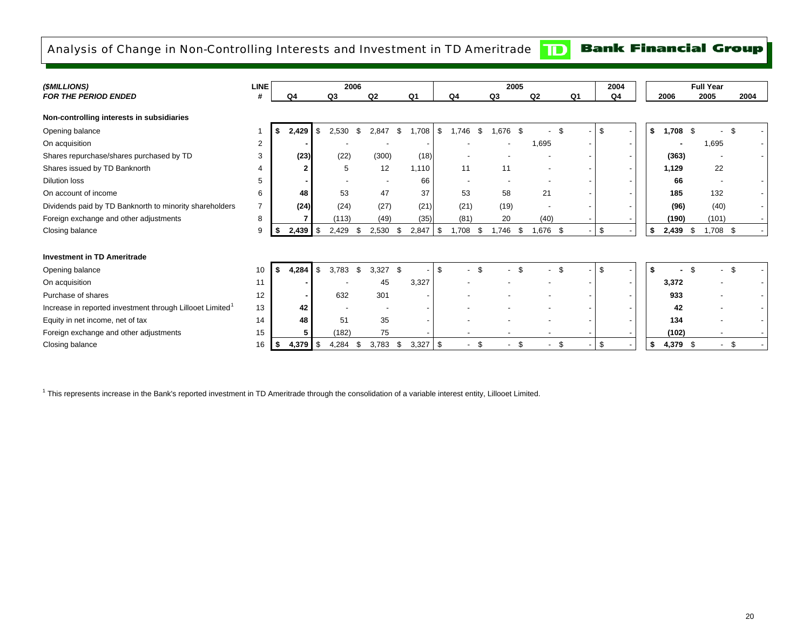## Analysis of Change in Non-Controlling Interests and Investment in TD Ameritrade

## **Bank Financial Group**

 $|\mathbf{D}|$ 

| (\$MILLIONS)                                                          | <b>LINE</b> | 2006 |                |                |       |                          |      |                |     | 2005   |    |       | 2004 | <b>Full Year</b>               |                |  |    |    |            |  |          |      |
|-----------------------------------------------------------------------|-------------|------|----------------|----------------|-------|--------------------------|------|----------------|-----|--------|----|-------|------|--------------------------------|----------------|--|----|----|------------|--|----------|------|
| <b>FOR THE PERIOD ENDED</b>                                           | #           |      | Q4             | Q <sub>3</sub> |       | Q <sub>2</sub>           |      | Q <sub>1</sub> |     | Q4     |    | Q3    |      | Q2                             | Q <sub>1</sub> |  | Q4 |    | 2006       |  | 2005     | 2004 |
| Non-controlling interests in subsidiaries                             |             |      |                |                |       |                          |      |                |     |        |    |       |      |                                |                |  |    |    |            |  |          |      |
| Opening balance                                                       |             | - 5  | 2,429          | l \$           | 2,530 | \$<br>2.847              | \$   | .708           | \$. | .746   | \$ | .676  | - \$ |                                |                |  | \$ | \$ | $1,708$ \$ |  |          | £.   |
| On acquisition                                                        | 2           |      |                |                |       |                          |      |                |     |        |    |       |      | 1,695                          |                |  |    |    |            |  | 1,695    |      |
| Shares repurchase/shares purchased by TD                              | 3           |      | (23)           |                | (22)  | (300)                    |      | (18)           |     |        |    |       |      |                                |                |  |    |    | (363)      |  |          |      |
| Shares issued by TD Banknorth                                         | 4           |      | $\overline{2}$ |                | 5     | 12                       |      | 1,110          |     | 11     |    | 11    |      |                                |                |  |    |    | 1,129      |  | 22       |      |
| <b>Dilution loss</b>                                                  | 5           |      |                |                |       | $\overline{\phantom{a}}$ |      | 66             |     |        |    |       |      |                                |                |  |    |    | 66         |  |          |      |
| On account of income                                                  | 6           |      | 48             |                | 53    | 47                       |      | 37             |     | 53     |    | 58    |      | 21                             |                |  |    |    | 185        |  | 132      |      |
| Dividends paid by TD Banknorth to minority shareholders               | 7           |      | (24)           |                | (24)  | (27)                     |      | (21)           |     | (21)   |    | (19)  |      |                                |                |  |    |    | (96)       |  | (40)     |      |
| Foreign exchange and other adjustments                                | 8           |      |                |                | (113) | (49)                     |      | (35)           |     | (81)   |    | 20    |      | (40)                           |                |  |    |    | (190)      |  | (101)    |      |
| Closing balance                                                       | 9           | - 56 | $2,439$ \$     |                | 2,429 | 2,530<br>\$              | \$   | 2,847          | \$  | 1,708  | \$ | 1,746 | \$   | 1,676 \$                       |                |  | \$ | \$ | $2,439$ \$ |  | 1,708 \$ |      |
|                                                                       |             |      |                |                |       |                          |      |                |     |        |    |       |      |                                |                |  |    |    |            |  |          |      |
| <b>Investment in TD Ameritrade</b>                                    |             |      |                |                |       |                          |      |                |     |        |    |       |      |                                |                |  |    |    |            |  |          |      |
| Opening balance                                                       | 10          | \$   | 4,284          |                | 3,783 | \$<br>3,327              | - \$ |                | £.  |        | \$ |       |      |                                |                |  | \$ | \$ |            |  |          | \$   |
| On acquisition                                                        | 11          |      |                |                |       | 45                       |      | 3,327          |     |        |    |       |      |                                |                |  |    |    | 3,372      |  |          |      |
| Purchase of shares                                                    | 12          |      |                |                | 632   | 301                      |      |                |     |        |    |       |      |                                |                |  |    |    | 933        |  |          |      |
| Increase in reported investment through Lillooet Limited <sup>1</sup> | 13          |      | 42             |                |       |                          |      |                |     |        |    |       |      |                                |                |  |    |    | 42         |  |          |      |
| Equity in net income, net of tax                                      | 14          |      | 48             |                | 51    | 35                       |      |                |     |        |    |       |      |                                |                |  |    |    | 134        |  |          |      |
| Foreign exchange and other adjustments                                | 15          |      |                |                | (182) | 75                       |      |                |     |        |    |       |      |                                |                |  |    |    | (102)      |  |          |      |
| Closing balance                                                       | 16          | - 56 |                |                | 4,284 | 3,783<br>- \$            | \$   | 3,327          | S   | $\sim$ | \$ |       | \$   | \$<br>$\overline{\phantom{a}}$ |                |  | \$ | \$ | 4,379 \$   |  | $\sim$   | -\$  |

<sup>1</sup> This represents increase in the Bank's reported investment in TD Ameritrade through the consolidation of a variable interest entity, Lillooet Limited.